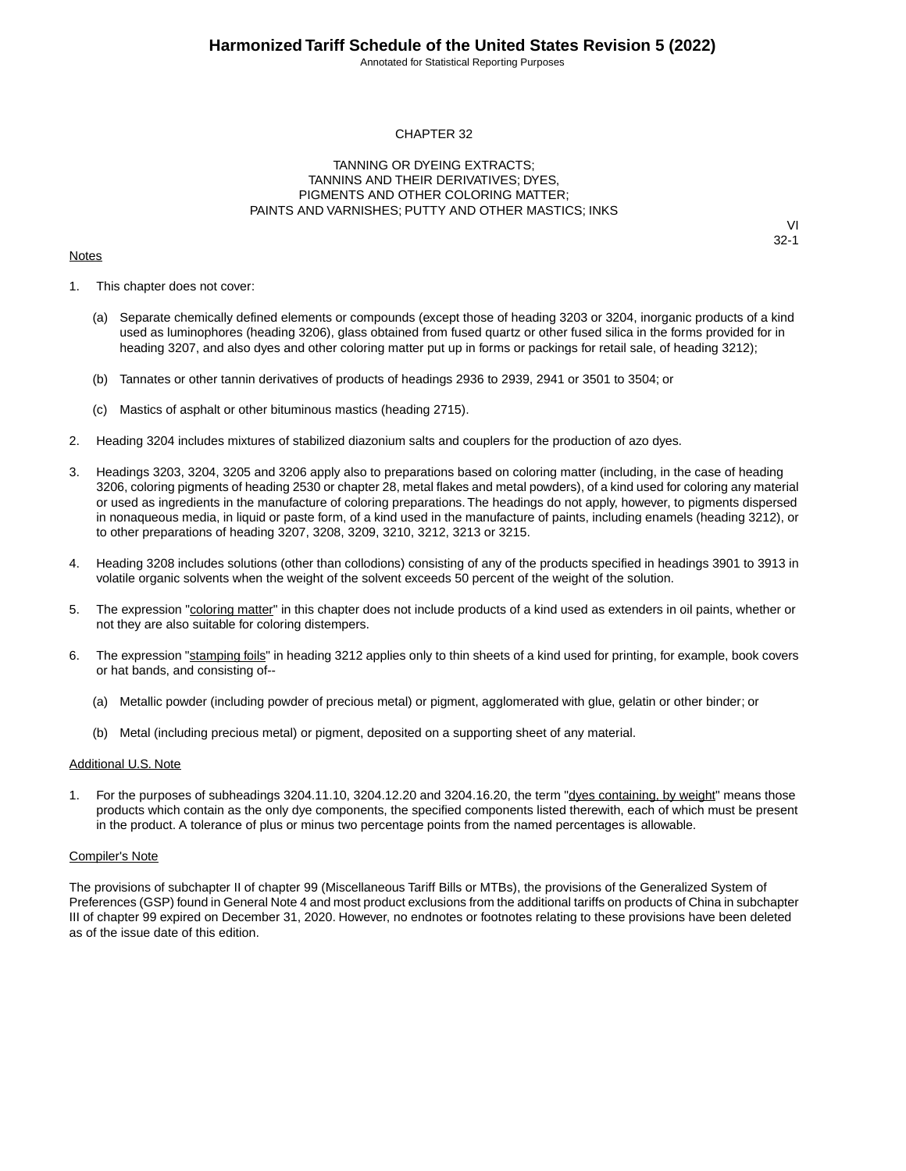Annotated for Statistical Reporting Purposes

#### CHAPTER 32

#### TANNING OR DYEING EXTRACTS; TANNINS AND THEIR DERIVATIVES; DYES, PIGMENTS AND OTHER COLORING MATTER; PAINTS AND VARNISHES; PUTTY AND OTHER MASTICS; INKS

#### **Notes**

VI 32-1

- 1. This chapter does not cover:
	- (a) Separate chemically defined elements or compounds (except those of heading 3203 or 3204, inorganic products of a kind used as luminophores (heading 3206), glass obtained from fused quartz or other fused silica in the forms provided for in heading 3207, and also dyes and other coloring matter put up in forms or packings for retail sale, of heading 3212);
	- (b) Tannates or other tannin derivatives of products of headings 2936 to 2939, 2941 or 3501 to 3504; or
	- (c) Mastics of asphalt or other bituminous mastics (heading 2715).
- 2. Heading 3204 includes mixtures of stabilized diazonium salts and couplers for the production of azo dyes.
- 3. Headings 3203, 3204, 3205 and 3206 apply also to preparations based on coloring matter (including, in the case of heading 3206, coloring pigments of heading 2530 or chapter 28, metal flakes and metal powders), of a kind used for coloring any material or used as ingredients in the manufacture of coloring preparations. The headings do not apply, however, to pigments dispersed in nonaqueous media, in liquid or paste form, of a kind used in the manufacture of paints, including enamels (heading 3212), or to other preparations of heading 3207, 3208, 3209, 3210, 3212, 3213 or 3215.
- 4. Heading 3208 includes solutions (other than collodions) consisting of any of the products specified in headings 3901 to 3913 in volatile organic solvents when the weight of the solvent exceeds 50 percent of the weight of the solution.
- 5. The expression "coloring matter" in this chapter does not include products of a kind used as extenders in oil paints, whether or not they are also suitable for coloring distempers.
- 6. The expression "stamping foils" in heading 3212 applies only to thin sheets of a kind used for printing, for example, book covers or hat bands, and consisting of--
	- (a) Metallic powder (including powder of precious metal) or pigment, agglomerated with glue, gelatin or other binder; or
	- (b) Metal (including precious metal) or pigment, deposited on a supporting sheet of any material.

#### Additional U.S. Note

For the purposes of subheadings 3204.11.10, 3204.12.20 and 3204.16.20, the term "dyes containing, by weight" means those products which contain as the only dye components, the specified components listed therewith, each of which must be present in the product. A tolerance of plus or minus two percentage points from the named percentages is allowable.

#### Compiler's Note

The provisions of subchapter II of chapter 99 (Miscellaneous Tariff Bills or MTBs), the provisions of the Generalized System of Preferences (GSP) found in General Note 4 and most product exclusions from the additional tariffs on products of China in subchapter III of chapter 99 expired on December 31, 2020. However, no endnotes or footnotes relating to these provisions have been deleted as of the issue date of this edition.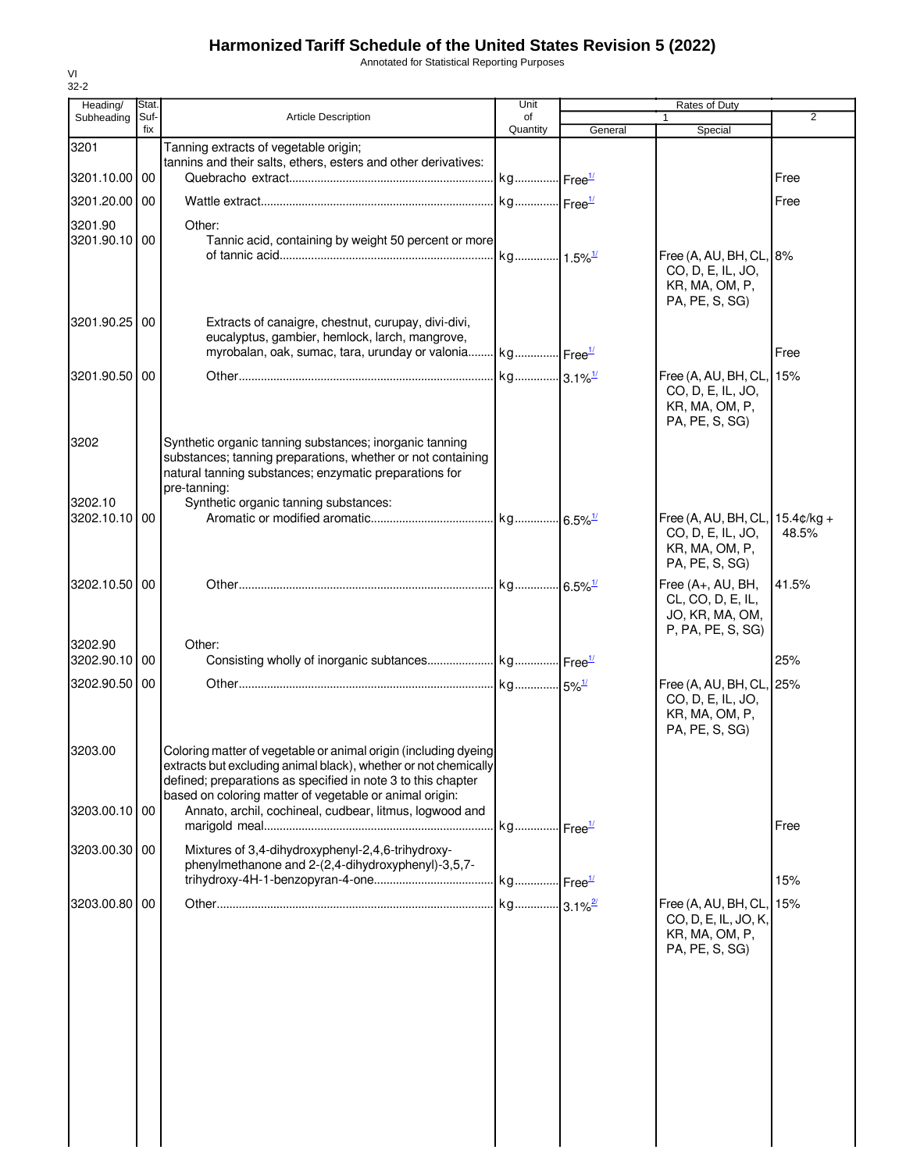Annotated for Statistical Reporting Purposes

| Heading/                 | Stat.       |                                                                                                                         | Unit                  |         | <b>Rates of Duty</b>                                 |                |
|--------------------------|-------------|-------------------------------------------------------------------------------------------------------------------------|-----------------------|---------|------------------------------------------------------|----------------|
| Subheading               | Suf-<br>fix | <b>Article Description</b>                                                                                              | of<br>Quantity        |         |                                                      | $\overline{2}$ |
| 3201                     |             | Tanning extracts of vegetable origin;                                                                                   |                       | General | Special                                              |                |
|                          |             | tannins and their salts, ethers, esters and other derivatives:                                                          |                       |         |                                                      |                |
| 3201.10.00 00            |             |                                                                                                                         | kg Free <sup>1/</sup> |         |                                                      | Free           |
| 3201.20.00 00            |             |                                                                                                                         | kg Free <sup>1/</sup> |         |                                                      | Free           |
|                          |             | Other:                                                                                                                  |                       |         |                                                      |                |
| 3201.90<br>3201.90.10 00 |             | Tannic acid, containing by weight 50 percent or more                                                                    |                       |         |                                                      |                |
|                          |             |                                                                                                                         | kg 1.5% <sup>1/</sup> |         | Free (A, AU, BH, CL, 8%                              |                |
|                          |             |                                                                                                                         |                       |         | CO, D, E, IL, JO,                                    |                |
|                          |             |                                                                                                                         |                       |         | KR, MA, OM, P,                                       |                |
|                          |             |                                                                                                                         |                       |         | PA, PE, S, SG)                                       |                |
| 3201.90.25 00            |             | Extracts of canaigre, chestnut, curupay, divi-divi,                                                                     |                       |         |                                                      |                |
|                          |             | eucalyptus, gambier, hemlock, larch, mangrove,<br>myrobalan, oak, sumac, tara, urunday or valonia kg Free <sup>1/</sup> |                       |         |                                                      | Free           |
|                          |             |                                                                                                                         |                       |         |                                                      |                |
| 3201.90.50 00            |             |                                                                                                                         | kg 3.1% <sup>1/</sup> |         | Free (A, AU, BH, CL, 15%                             |                |
|                          |             |                                                                                                                         |                       |         | CO, D, E, IL, JO,<br>KR, MA, OM, P,                  |                |
|                          |             |                                                                                                                         |                       |         | PA, PE, S, SG)                                       |                |
| 3202                     |             | Synthetic organic tanning substances; inorganic tanning                                                                 |                       |         |                                                      |                |
|                          |             | substances; tanning preparations, whether or not containing                                                             |                       |         |                                                      |                |
|                          |             | natural tanning substances; enzymatic preparations for                                                                  |                       |         |                                                      |                |
|                          |             | pre-tanning:                                                                                                            |                       |         |                                                      |                |
| 3202.10                  |             | Synthetic organic tanning substances:                                                                                   |                       |         |                                                      |                |
| 3202.10.10 00            |             |                                                                                                                         |                       |         | Free (A, AU, BH, CL, 15.4¢/kg +<br>CO, D, E, IL, JO, | 48.5%          |
|                          |             |                                                                                                                         |                       |         | KR, MA, OM, P,                                       |                |
|                          |             |                                                                                                                         |                       |         | PA, PE, S, SG)                                       |                |
| 3202.10.50 00            |             |                                                                                                                         | kg 6.5% <sup>1/</sup> |         | Free (A+, AU, BH,                                    | 41.5%          |
|                          |             |                                                                                                                         |                       |         | CL, CO, D, E, IL,                                    |                |
|                          |             |                                                                                                                         |                       |         | JO, KR, MA, OM,                                      |                |
|                          |             |                                                                                                                         |                       |         | P, PA, PE, S, SG)                                    |                |
| 3202.90<br>3202.90.10 00 |             | Other:                                                                                                                  |                       |         |                                                      | 25%            |
|                          |             |                                                                                                                         |                       |         |                                                      |                |
| 3202.90.50 00            |             |                                                                                                                         |                       |         | Free (A, AU, BH, CL, 25%<br>CO, D, E, IL, JO,        |                |
|                          |             |                                                                                                                         |                       |         | KR, MA, OM, P,                                       |                |
|                          |             |                                                                                                                         |                       |         | PA, PE, S, SG)                                       |                |
| 3203.00                  |             | Coloring matter of vegetable or animal origin (including dyeing                                                         |                       |         |                                                      |                |
|                          |             | extracts but excluding animal black), whether or not chemically                                                         |                       |         |                                                      |                |
|                          |             | defined; preparations as specified in note 3 to this chapter                                                            |                       |         |                                                      |                |
| 3203.00.10 00            |             | based on coloring matter of vegetable or animal origin:<br>Annato, archil, cochineal, cudbear, litmus, logwood and      |                       |         |                                                      |                |
|                          |             |                                                                                                                         | kg Free <sup>1/</sup> |         |                                                      | Free           |
|                          |             |                                                                                                                         |                       |         |                                                      |                |
| 3203.00.30 00            |             | Mixtures of 3,4-dihydroxyphenyl-2,4,6-trihydroxy-<br>phenylmethanone and 2-(2,4-dihydroxyphenyl)-3,5,7-                 |                       |         |                                                      |                |
|                          |             |                                                                                                                         |                       |         |                                                      | 15%            |
|                          |             |                                                                                                                         |                       |         |                                                      |                |
| 3203.00.80 00            |             |                                                                                                                         | kg 3.1% <sup>2/</sup> |         | Free (A, AU, BH, CL, 15%<br>CO, D, E, IL, JO, K,     |                |
|                          |             |                                                                                                                         |                       |         | KR, MA, OM, P,                                       |                |
|                          |             |                                                                                                                         |                       |         | PA, PE, S, SG)                                       |                |
|                          |             |                                                                                                                         |                       |         |                                                      |                |
|                          |             |                                                                                                                         |                       |         |                                                      |                |
|                          |             |                                                                                                                         |                       |         |                                                      |                |
|                          |             |                                                                                                                         |                       |         |                                                      |                |
|                          |             |                                                                                                                         |                       |         |                                                      |                |
|                          |             |                                                                                                                         |                       |         |                                                      |                |
|                          |             |                                                                                                                         |                       |         |                                                      |                |
|                          |             |                                                                                                                         |                       |         |                                                      |                |
|                          |             |                                                                                                                         |                       |         |                                                      |                |
|                          |             |                                                                                                                         |                       |         |                                                      |                |
|                          |             |                                                                                                                         |                       |         |                                                      |                |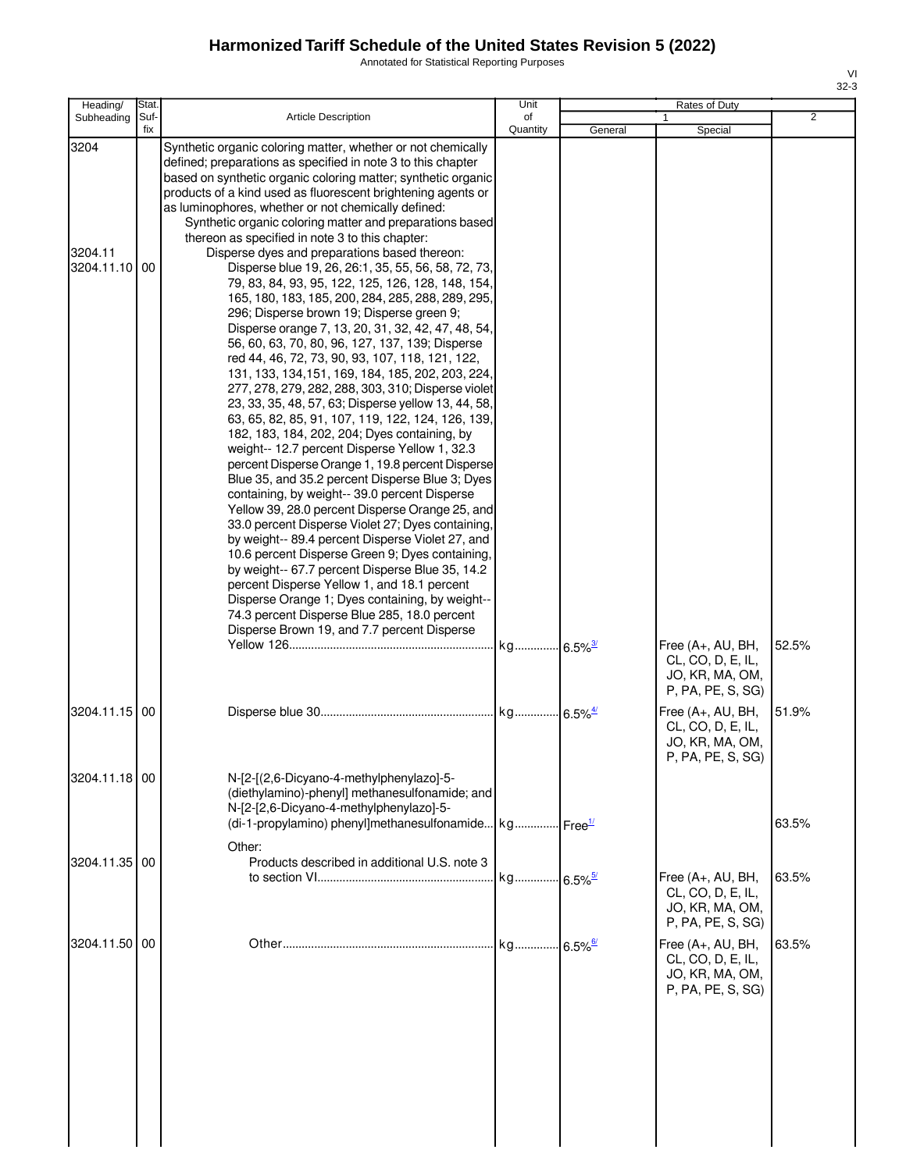Annotated for Statistical Reporting Purposes

| Heading/                         | Stat.       |                                                                                                                                                                                                                                                                                                                                                                                                                                                                                                                                                                                                                                                                                                                                                                                                                                                                                                                                                                                                                                                                                                                                                                                                                                                                                                                                                                                                                                                                                                                                                                                                                                                                                                                                                                                                                   | Unit           |         | Rates of Duty                                                                                                          |                |
|----------------------------------|-------------|-------------------------------------------------------------------------------------------------------------------------------------------------------------------------------------------------------------------------------------------------------------------------------------------------------------------------------------------------------------------------------------------------------------------------------------------------------------------------------------------------------------------------------------------------------------------------------------------------------------------------------------------------------------------------------------------------------------------------------------------------------------------------------------------------------------------------------------------------------------------------------------------------------------------------------------------------------------------------------------------------------------------------------------------------------------------------------------------------------------------------------------------------------------------------------------------------------------------------------------------------------------------------------------------------------------------------------------------------------------------------------------------------------------------------------------------------------------------------------------------------------------------------------------------------------------------------------------------------------------------------------------------------------------------------------------------------------------------------------------------------------------------------------------------------------------------|----------------|---------|------------------------------------------------------------------------------------------------------------------------|----------------|
| Subheading                       | Suf-<br>fix | <b>Article Description</b>                                                                                                                                                                                                                                                                                                                                                                                                                                                                                                                                                                                                                                                                                                                                                                                                                                                                                                                                                                                                                                                                                                                                                                                                                                                                                                                                                                                                                                                                                                                                                                                                                                                                                                                                                                                        | of<br>Quantity | General | Special                                                                                                                | $\overline{2}$ |
| 3204<br>3204.11<br>3204.11.10 00 |             | Synthetic organic coloring matter, whether or not chemically<br>defined; preparations as specified in note 3 to this chapter<br>based on synthetic organic coloring matter; synthetic organic<br>products of a kind used as fluorescent brightening agents or<br>as luminophores, whether or not chemically defined:<br>Synthetic organic coloring matter and preparations based<br>thereon as specified in note 3 to this chapter:<br>Disperse dyes and preparations based thereon:<br>Disperse blue 19, 26, 26:1, 35, 55, 56, 58, 72, 73,<br>79, 83, 84, 93, 95, 122, 125, 126, 128, 148, 154,<br>165, 180, 183, 185, 200, 284, 285, 288, 289, 295,<br>296; Disperse brown 19; Disperse green 9;<br>Disperse orange 7, 13, 20, 31, 32, 42, 47, 48, 54,<br>56, 60, 63, 70, 80, 96, 127, 137, 139; Disperse<br>red 44, 46, 72, 73, 90, 93, 107, 118, 121, 122,<br>131, 133, 134, 151, 169, 184, 185, 202, 203, 224,<br>277, 278, 279, 282, 288, 303, 310; Disperse violet<br>23, 33, 35, 48, 57, 63; Disperse yellow 13, 44, 58,<br>63, 65, 82, 85, 91, 107, 119, 122, 124, 126, 139,<br>182, 183, 184, 202, 204; Dyes containing, by<br>weight-- 12.7 percent Disperse Yellow 1, 32.3<br>percent Disperse Orange 1, 19.8 percent Disperse<br>Blue 35, and 35.2 percent Disperse Blue 3; Dyes<br>containing, by weight-- 39.0 percent Disperse<br>Yellow 39, 28.0 percent Disperse Orange 25, and<br>33.0 percent Disperse Violet 27; Dyes containing,<br>by weight-- 89.4 percent Disperse Violet 27, and<br>10.6 percent Disperse Green 9; Dyes containing,<br>by weight-- 67.7 percent Disperse Blue 35, 14.2<br>percent Disperse Yellow 1, and 18.1 percent<br>Disperse Orange 1; Dyes containing, by weight--<br>74.3 percent Disperse Blue 285, 18.0 percent<br>Disperse Brown 19, and 7.7 percent Disperse |                |         | Free (A+, AU, BH,<br>CL, CO, D, E, IL,                                                                                 | 52.5%          |
| 3204.11.15 00                    |             |                                                                                                                                                                                                                                                                                                                                                                                                                                                                                                                                                                                                                                                                                                                                                                                                                                                                                                                                                                                                                                                                                                                                                                                                                                                                                                                                                                                                                                                                                                                                                                                                                                                                                                                                                                                                                   |                |         | JO, KR, MA, OM,<br>P, PA, PE, S, SG)<br>Free (A+, AU, BH,<br>CL, CO, D, E, IL,<br>JO, KR, MA, OM,<br>P, PA, PE, S, SG) | 51.9%          |
| 3204.11.18 00                    |             | N-[2-[(2,6-Dicyano-4-methylphenylazo]-5-<br>(diethylamino)-phenyl] methanesulfonamide; and<br>N-[2-[2,6-Dicyano-4-methylphenylazo]-5-<br>(di-1-propylamino) phenyl]methanesulfonamide kg Free <sup>1/</sup>                                                                                                                                                                                                                                                                                                                                                                                                                                                                                                                                                                                                                                                                                                                                                                                                                                                                                                                                                                                                                                                                                                                                                                                                                                                                                                                                                                                                                                                                                                                                                                                                       |                |         |                                                                                                                        | 63.5%          |
| 3204.11.35 00                    |             | Other:<br>Products described in additional U.S. note 3                                                                                                                                                                                                                                                                                                                                                                                                                                                                                                                                                                                                                                                                                                                                                                                                                                                                                                                                                                                                                                                                                                                                                                                                                                                                                                                                                                                                                                                                                                                                                                                                                                                                                                                                                            |                |         | Free (A+, AU, BH,<br>CL, CO, D, E, IL,<br>JO, KR, MA, OM,<br>P, PA, PE, S, SG)                                         | 63.5%          |
| 3204.11.50 00                    |             |                                                                                                                                                                                                                                                                                                                                                                                                                                                                                                                                                                                                                                                                                                                                                                                                                                                                                                                                                                                                                                                                                                                                                                                                                                                                                                                                                                                                                                                                                                                                                                                                                                                                                                                                                                                                                   |                |         | Free (A+, AU, BH,<br>CL, CO, D, E, IL,<br>JO, KR, MA, OM,<br>P, PA, PE, S, SG)                                         | 63.5%          |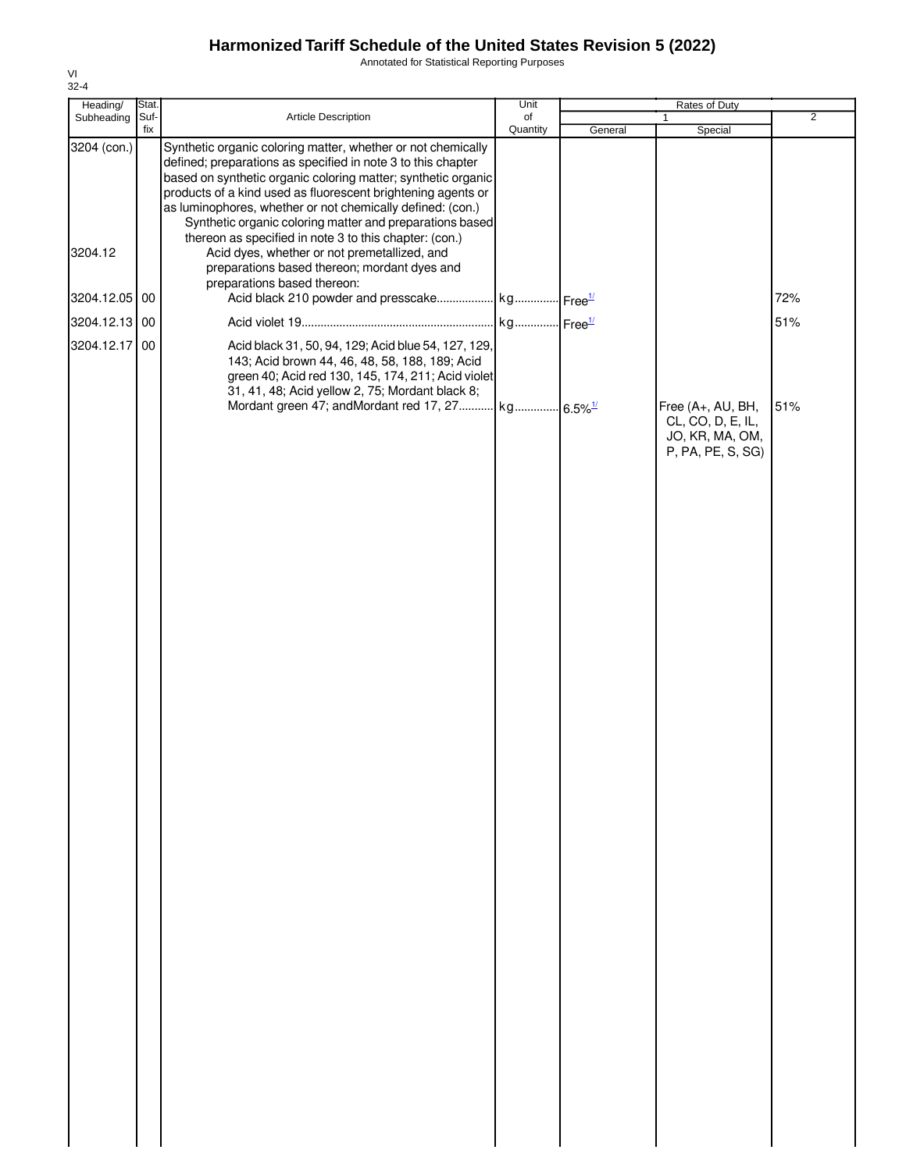Annotated for Statistical Reporting Purposes

| Heading/      | Stat.       |                                                                                                                                                                                                                                                                                                                                                                                         | Unit           |         | Rates of Duty                                                                  |                |
|---------------|-------------|-----------------------------------------------------------------------------------------------------------------------------------------------------------------------------------------------------------------------------------------------------------------------------------------------------------------------------------------------------------------------------------------|----------------|---------|--------------------------------------------------------------------------------|----------------|
| Subheading    | Suf-<br>fix | Article Description                                                                                                                                                                                                                                                                                                                                                                     | of<br>Quantity | General | 1<br>Special                                                                   | $\overline{2}$ |
| 3204 (con.)   |             | Synthetic organic coloring matter, whether or not chemically<br>defined; preparations as specified in note 3 to this chapter<br>based on synthetic organic coloring matter; synthetic organic<br>products of a kind used as fluorescent brightening agents or<br>as luminophores, whether or not chemically defined: (con.)<br>Synthetic organic coloring matter and preparations based |                |         |                                                                                |                |
| 3204.12       |             | thereon as specified in note 3 to this chapter: (con.)<br>Acid dyes, whether or not premetallized, and<br>preparations based thereon; mordant dyes and<br>preparations based thereon:                                                                                                                                                                                                   |                |         |                                                                                |                |
| 3204.12.05 00 |             |                                                                                                                                                                                                                                                                                                                                                                                         |                |         |                                                                                | 72%            |
| 3204.12.13 00 |             |                                                                                                                                                                                                                                                                                                                                                                                         |                |         |                                                                                | 51%            |
| 3204.12.17    | 00          | Acid black 31, 50, 94, 129; Acid blue 54, 127, 129,<br>143; Acid brown 44, 46, 48, 58, 188, 189; Acid<br>green 40; Acid red 130, 145, 174, 211; Acid violet<br>31, 41, 48; Acid yellow 2, 75; Mordant black 8;                                                                                                                                                                          |                |         |                                                                                |                |
|               |             | Mordant green 47; andMordant red 17, 27 kg 6.5% <sup>1/</sup>                                                                                                                                                                                                                                                                                                                           |                |         | Free (A+, AU, BH,<br>CL, CO, D, E, IL,<br>JO, KR, MA, OM,<br>P, PA, PE, S, SG) | 51%            |
|               |             |                                                                                                                                                                                                                                                                                                                                                                                         |                |         |                                                                                |                |
|               |             |                                                                                                                                                                                                                                                                                                                                                                                         |                |         |                                                                                |                |
|               |             |                                                                                                                                                                                                                                                                                                                                                                                         |                |         |                                                                                |                |
|               |             |                                                                                                                                                                                                                                                                                                                                                                                         |                |         |                                                                                |                |
|               |             |                                                                                                                                                                                                                                                                                                                                                                                         |                |         |                                                                                |                |
|               |             |                                                                                                                                                                                                                                                                                                                                                                                         |                |         |                                                                                |                |
|               |             |                                                                                                                                                                                                                                                                                                                                                                                         |                |         |                                                                                |                |
|               |             |                                                                                                                                                                                                                                                                                                                                                                                         |                |         |                                                                                |                |
|               |             |                                                                                                                                                                                                                                                                                                                                                                                         |                |         |                                                                                |                |
|               |             |                                                                                                                                                                                                                                                                                                                                                                                         |                |         |                                                                                |                |
|               |             |                                                                                                                                                                                                                                                                                                                                                                                         |                |         |                                                                                |                |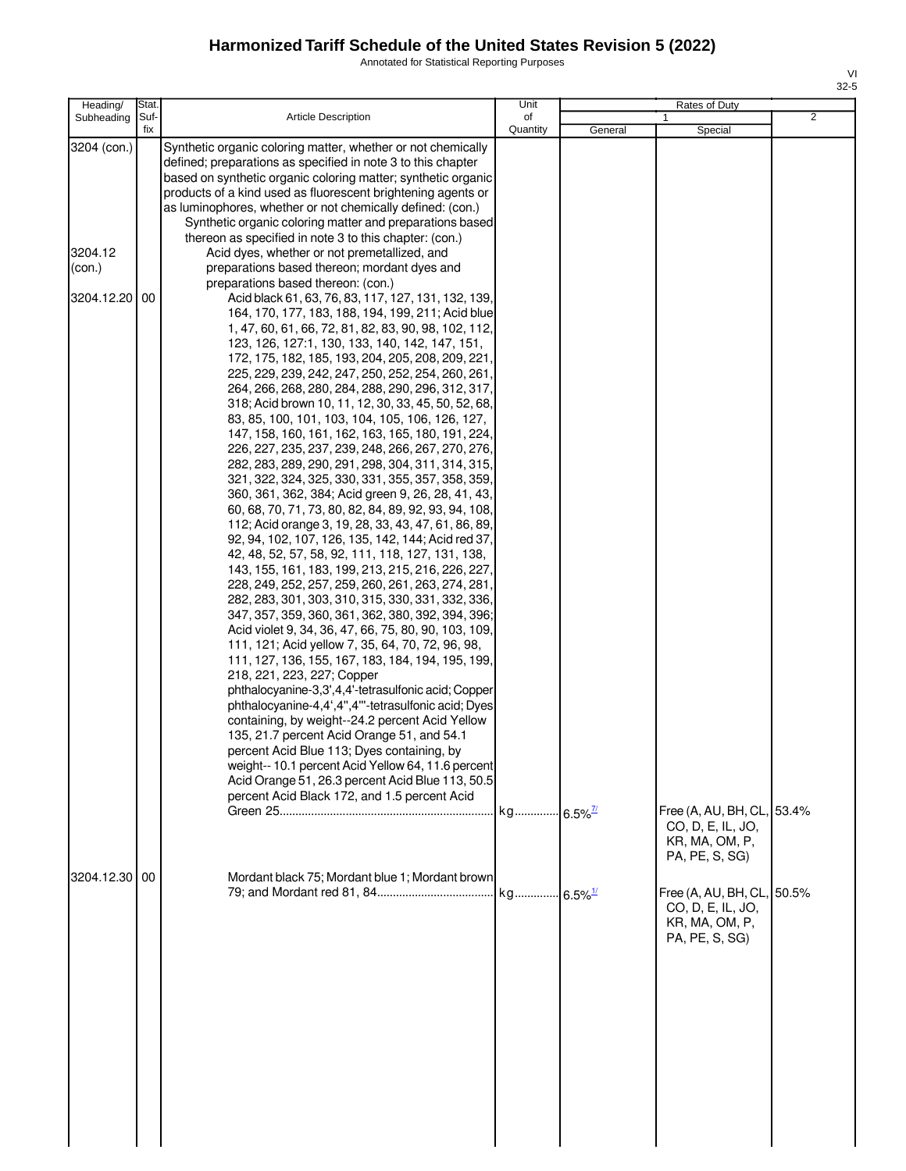Annotated for Statistical Reporting Purposes

| Heading/                                       | Stat.      |                                                                                                                                                                                                                                                                                                                                                                                                                                                                                                                                                                                                                                                                                                                                                                                                                                                                                                                                                                                                                                                                                                                                                                                                                                                                                                                                                                                                                                                                                                                                                                                                                                                                                                                                                                                                                                                                                                                                                                                                                                                                                                                                                                                                                                                                                                                                                             | Unit                   |         | Rates of Duty                                                                       |                |
|------------------------------------------------|------------|-------------------------------------------------------------------------------------------------------------------------------------------------------------------------------------------------------------------------------------------------------------------------------------------------------------------------------------------------------------------------------------------------------------------------------------------------------------------------------------------------------------------------------------------------------------------------------------------------------------------------------------------------------------------------------------------------------------------------------------------------------------------------------------------------------------------------------------------------------------------------------------------------------------------------------------------------------------------------------------------------------------------------------------------------------------------------------------------------------------------------------------------------------------------------------------------------------------------------------------------------------------------------------------------------------------------------------------------------------------------------------------------------------------------------------------------------------------------------------------------------------------------------------------------------------------------------------------------------------------------------------------------------------------------------------------------------------------------------------------------------------------------------------------------------------------------------------------------------------------------------------------------------------------------------------------------------------------------------------------------------------------------------------------------------------------------------------------------------------------------------------------------------------------------------------------------------------------------------------------------------------------------------------------------------------------------------------------------------------------|------------------------|---------|-------------------------------------------------------------------------------------|----------------|
| Subheading                                     | fix        |                                                                                                                                                                                                                                                                                                                                                                                                                                                                                                                                                                                                                                                                                                                                                                                                                                                                                                                                                                                                                                                                                                                                                                                                                                                                                                                                                                                                                                                                                                                                                                                                                                                                                                                                                                                                                                                                                                                                                                                                                                                                                                                                                                                                                                                                                                                                                             |                        |         |                                                                                     |                |
| 3204 (con.)<br>3204.12<br>(con.)<br>3204.12.20 | Suf-<br>00 | <b>Article Description</b><br>Synthetic organic coloring matter, whether or not chemically<br>defined; preparations as specified in note 3 to this chapter<br>based on synthetic organic coloring matter; synthetic organic<br>products of a kind used as fluorescent brightening agents or<br>as luminophores, whether or not chemically defined: (con.)<br>Synthetic organic coloring matter and preparations based<br>thereon as specified in note 3 to this chapter: (con.)<br>Acid dyes, whether or not premetallized, and<br>preparations based thereon; mordant dyes and<br>preparations based thereon: (con.)<br>Acid black 61, 63, 76, 83, 117, 127, 131, 132, 139,<br>164, 170, 177, 183, 188, 194, 199, 211; Acid blue<br>1, 47, 60, 61, 66, 72, 81, 82, 83, 90, 98, 102, 112,<br>123, 126, 127:1, 130, 133, 140, 142, 147, 151,<br>172, 175, 182, 185, 193, 204, 205, 208, 209, 221<br>225, 229, 239, 242, 247, 250, 252, 254, 260, 261,<br>264, 266, 268, 280, 284, 288, 290, 296, 312, 317,<br>318; Acid brown 10, 11, 12, 30, 33, 45, 50, 52, 68,<br>83, 85, 100, 101, 103, 104, 105, 106, 126, 127,<br>147, 158, 160, 161, 162, 163, 165, 180, 191, 224,<br>226, 227, 235, 237, 239, 248, 266, 267, 270, 276,<br>282, 283, 289, 290, 291, 298, 304, 311, 314, 315,<br>321, 322, 324, 325, 330, 331, 355, 357, 358, 359,<br>360, 361, 362, 384; Acid green 9, 26, 28, 41, 43,<br>60, 68, 70, 71, 73, 80, 82, 84, 89, 92, 93, 94, 108,<br>112; Acid orange 3, 19, 28, 33, 43, 47, 61, 86, 89,<br>92, 94, 102, 107, 126, 135, 142, 144; Acid red 37,<br>42, 48, 52, 57, 58, 92, 111, 118, 127, 131, 138,<br>143, 155, 161, 183, 199, 213, 215, 216, 226, 227,<br>228, 249, 252, 257, 259, 260, 261, 263, 274, 281,<br>282, 283, 301, 303, 310, 315, 330, 331, 332, 336,<br>347, 357, 359, 360, 361, 362, 380, 392, 394, 396;<br>Acid violet 9, 34, 36, 47, 66, 75, 80, 90, 103, 109,<br>111, 121; Acid yellow 7, 35, 64, 70, 72, 96, 98,<br>111, 127, 136, 155, 167, 183, 184, 194, 195, 199,<br>218, 221, 223, 227; Copper<br>phthalocyanine-3,3',4,4'-tetrasulfonic acid; Copper<br>phthalocyanine-4,4',4",4"'-tetrasulfonic acid; Dyes<br>containing, by weight--24.2 percent Acid Yellow<br>135, 21.7 percent Acid Orange 51, and 54.1<br>percent Acid Blue 113; Dyes containing, by<br>weight-- 10.1 percent Acid Yellow 64, 11.6 percent | of<br>Quantity         | General | Special                                                                             | $\overline{2}$ |
|                                                |            | Acid Orange 51, 26.3 percent Acid Blue 113, 50.5<br>percent Acid Black 172, and 1.5 percent Acid                                                                                                                                                                                                                                                                                                                                                                                                                                                                                                                                                                                                                                                                                                                                                                                                                                                                                                                                                                                                                                                                                                                                                                                                                                                                                                                                                                                                                                                                                                                                                                                                                                                                                                                                                                                                                                                                                                                                                                                                                                                                                                                                                                                                                                                            | kg 6.5% <sup>7/1</sup> |         | Free (A, AU, BH, CL, 53.4%<br>CO, D, E, IL, JO,<br>KR, MA, OM, P,<br>PA, PE, S, SG) |                |
| 3204.12.30                                     | 00         | Mordant black 75; Mordant blue 1; Mordant brown                                                                                                                                                                                                                                                                                                                                                                                                                                                                                                                                                                                                                                                                                                                                                                                                                                                                                                                                                                                                                                                                                                                                                                                                                                                                                                                                                                                                                                                                                                                                                                                                                                                                                                                                                                                                                                                                                                                                                                                                                                                                                                                                                                                                                                                                                                             | kg 6.5% <sup>1/</sup>  |         | Free (A, AU, BH, CL, 50.5%<br>CO, D, E, IL, JO,<br>KR, MA, OM, P,<br>PA, PE, S, SG) |                |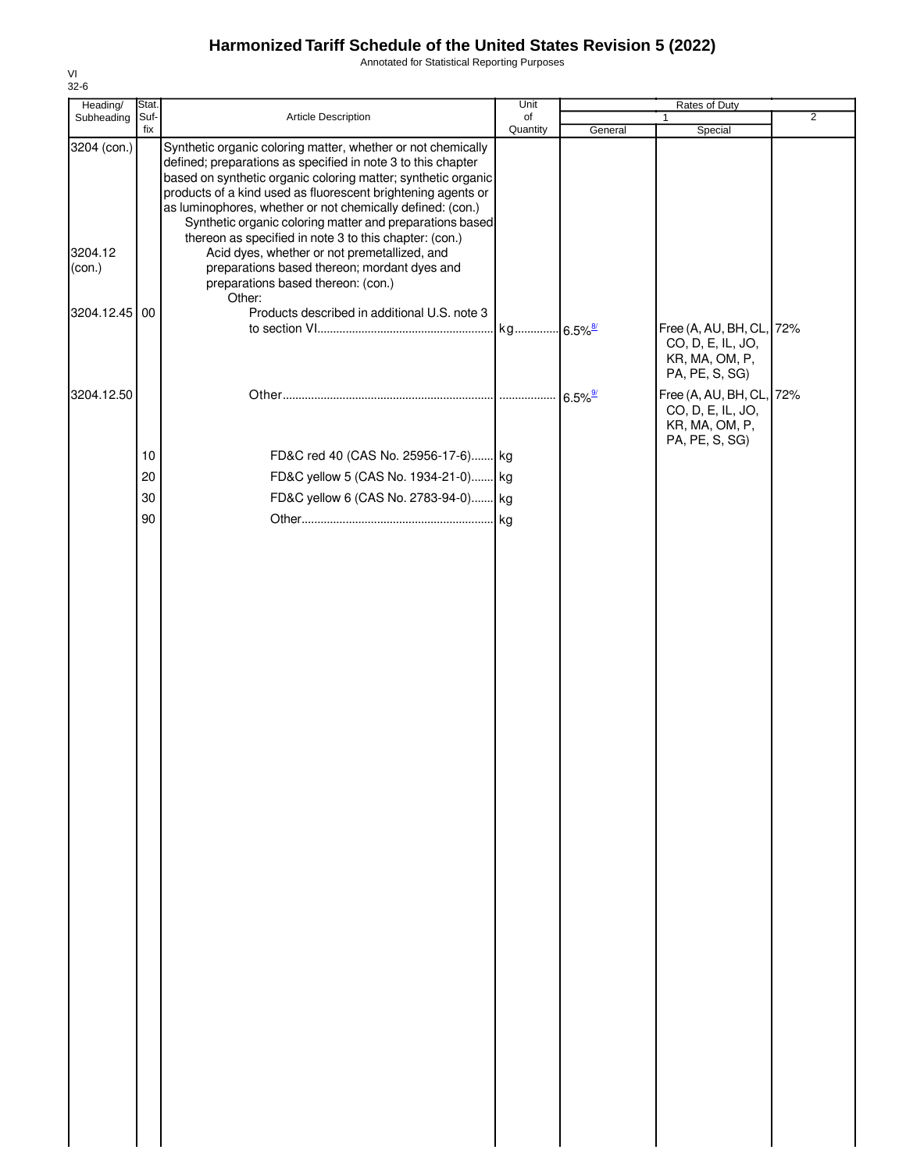Annotated for Statistical Reporting Purposes

| Heading/                         | Stat. |                                                                                                                                                                                                                                                                                                                                                                                                                                                                                                                                                   | Unit     |                       | Rates of Duty                                                                     |                |
|----------------------------------|-------|---------------------------------------------------------------------------------------------------------------------------------------------------------------------------------------------------------------------------------------------------------------------------------------------------------------------------------------------------------------------------------------------------------------------------------------------------------------------------------------------------------------------------------------------------|----------|-----------------------|-----------------------------------------------------------------------------------|----------------|
| Subheading                       | Suf-  | Article Description                                                                                                                                                                                                                                                                                                                                                                                                                                                                                                                               | of       |                       | 1                                                                                 | $\overline{2}$ |
| 3204 (con.)<br>3204.12<br>(con.) | fix   | Synthetic organic coloring matter, whether or not chemically<br>defined; preparations as specified in note 3 to this chapter<br>based on synthetic organic coloring matter; synthetic organic<br>products of a kind used as fluorescent brightening agents or<br>as luminophores, whether or not chemically defined: (con.)<br>Synthetic organic coloring matter and preparations based<br>thereon as specified in note 3 to this chapter: (con.)<br>Acid dyes, whether or not premetallized, and<br>preparations based thereon; mordant dyes and | Quantity | General               | Special                                                                           |                |
|                                  |       | preparations based thereon: (con.)                                                                                                                                                                                                                                                                                                                                                                                                                                                                                                                |          |                       |                                                                                   |                |
| 3204.12.45                       | 00    | Other:<br>Products described in additional U.S. note 3                                                                                                                                                                                                                                                                                                                                                                                                                                                                                            |          |                       | Free (A, AU, BH, CL, 72%<br>CO, D, E, IL, JO,<br>KR, MA, OM, P,<br>PA, PE, S, SG) |                |
| 3204.12.50                       |       |                                                                                                                                                                                                                                                                                                                                                                                                                                                                                                                                                   |          | $6.5\%$ <sup>9/</sup> | Free (A, AU, BH, CL, 72%<br>CO, D, E, IL, JO,<br>KR, MA, OM, P,                   |                |
|                                  | 10    | FD&C red 40 (CAS No. 25956-17-6) kg                                                                                                                                                                                                                                                                                                                                                                                                                                                                                                               |          |                       | PA, PE, S, SG)                                                                    |                |
|                                  | 20    | FD&C yellow 5 (CAS No. 1934-21-0) kg                                                                                                                                                                                                                                                                                                                                                                                                                                                                                                              |          |                       |                                                                                   |                |
|                                  | 30    | FD&C yellow 6 (CAS No. 2783-94-0) kg                                                                                                                                                                                                                                                                                                                                                                                                                                                                                                              |          |                       |                                                                                   |                |
|                                  | 90    |                                                                                                                                                                                                                                                                                                                                                                                                                                                                                                                                                   |          |                       |                                                                                   |                |
|                                  |       |                                                                                                                                                                                                                                                                                                                                                                                                                                                                                                                                                   |          |                       |                                                                                   |                |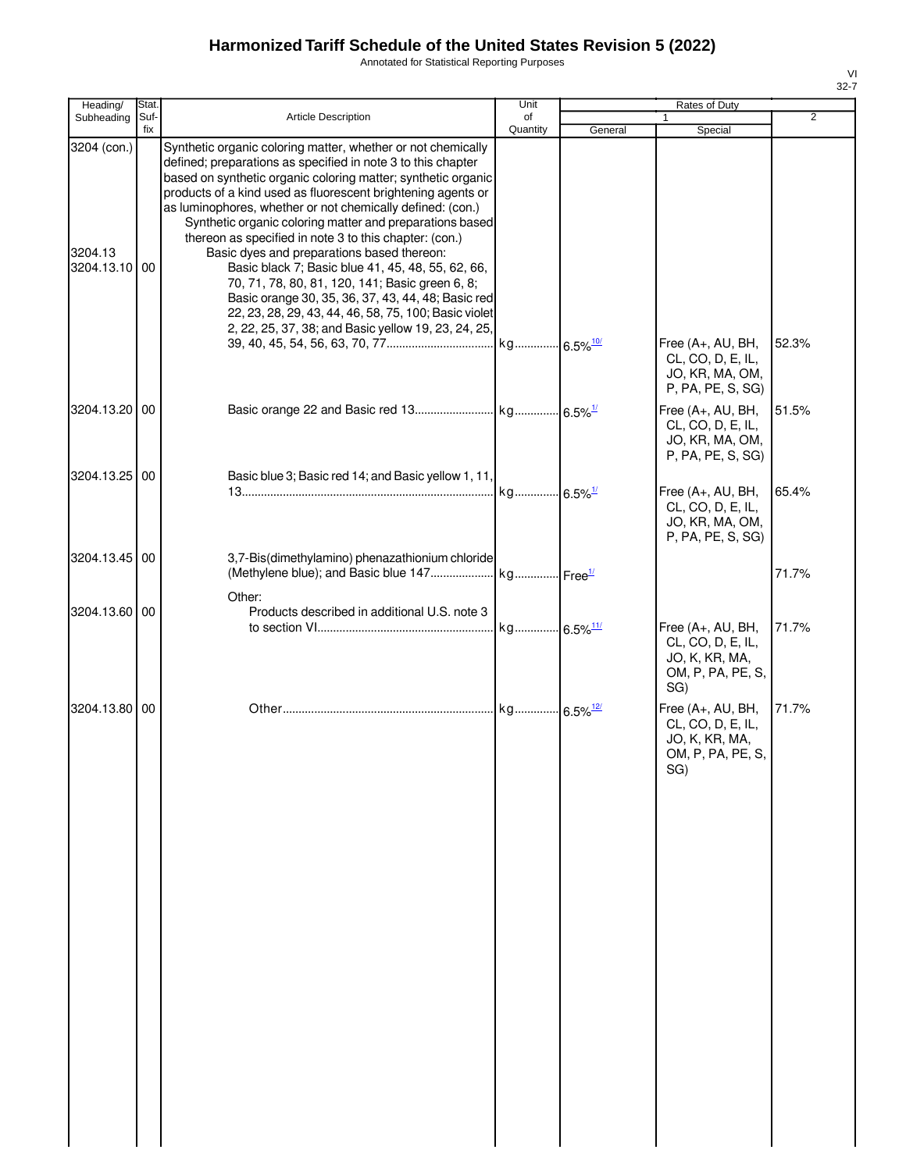Annotated for Statistical Reporting Purposes

| ۰, |  |
|----|--|

| Heading/                                | Stat.       |                                                                                                                                                                                                                                                                                                                                                                                                                                                                                                                                                                                                                                                                                                                                                                               | Unit           |         | Rates of Duty                                                                                                                               |                |
|-----------------------------------------|-------------|-------------------------------------------------------------------------------------------------------------------------------------------------------------------------------------------------------------------------------------------------------------------------------------------------------------------------------------------------------------------------------------------------------------------------------------------------------------------------------------------------------------------------------------------------------------------------------------------------------------------------------------------------------------------------------------------------------------------------------------------------------------------------------|----------------|---------|---------------------------------------------------------------------------------------------------------------------------------------------|----------------|
| Subheading                              | Suf-<br>fix | Article Description                                                                                                                                                                                                                                                                                                                                                                                                                                                                                                                                                                                                                                                                                                                                                           | of<br>Quantity | General | 1<br>Special                                                                                                                                | $\overline{2}$ |
| 3204 (con.)<br>3204.13<br>3204.13.10 00 |             | Synthetic organic coloring matter, whether or not chemically<br>defined; preparations as specified in note 3 to this chapter<br>based on synthetic organic coloring matter; synthetic organic<br>products of a kind used as fluorescent brightening agents or<br>as luminophores, whether or not chemically defined: (con.)<br>Synthetic organic coloring matter and preparations based<br>thereon as specified in note 3 to this chapter: (con.)<br>Basic dyes and preparations based thereon:<br>Basic black 7; Basic blue 41, 45, 48, 55, 62, 66,<br>70, 71, 78, 80, 81, 120, 141; Basic green 6, 8;<br>Basic orange 30, 35, 36, 37, 43, 44, 48; Basic red<br>22, 23, 28, 29, 43, 44, 46, 58, 75, 100; Basic violet<br>2, 22, 25, 37, 38; and Basic yellow 19, 23, 24, 25, |                |         | Free (A+, AU, BH,                                                                                                                           | 52.3%          |
| 3204.13.20 00                           |             |                                                                                                                                                                                                                                                                                                                                                                                                                                                                                                                                                                                                                                                                                                                                                                               |                |         | CL, CO, D, E, IL,<br>JO, KR, MA, OM,<br>P, PA, PE, S, SG)<br>Free (A+, AU, BH,<br>CL, CO, D, E, IL,<br>JO, KR, MA, OM,<br>P, PA, PE, S, SG) | 51.5%          |
| 3204.13.25 00                           |             | Basic blue 3; Basic red 14; and Basic yellow 1, 11,                                                                                                                                                                                                                                                                                                                                                                                                                                                                                                                                                                                                                                                                                                                           |                |         | Free (A+, AU, BH,<br>CL, CO, D, E, IL,<br>JO, KR, MA, OM,<br>P, PA, PE, S, SG)                                                              | 65.4%          |
| 3204.13.45 00                           |             | 3,7-Bis(dimethylamino) phenazathionium chloride                                                                                                                                                                                                                                                                                                                                                                                                                                                                                                                                                                                                                                                                                                                               |                |         |                                                                                                                                             | 71.7%          |
| 3204.13.60 00                           |             | Other:<br>Products described in additional U.S. note 3                                                                                                                                                                                                                                                                                                                                                                                                                                                                                                                                                                                                                                                                                                                        |                |         | Free (A+, AU, BH,<br>CL, CO, D, E, IL,<br>JO, K, KR, MA,<br>OM, P, PA, PE, S,                                                               | 71.7%          |
| 3204.13.80 00                           |             |                                                                                                                                                                                                                                                                                                                                                                                                                                                                                                                                                                                                                                                                                                                                                                               |                |         | SG)<br>Free (A+, AU, BH,<br>CL, CO, D, E, IL,<br>JO, K, KR, MA,<br>OM, P, PA, PE, S,<br>SG)                                                 | 71.7%          |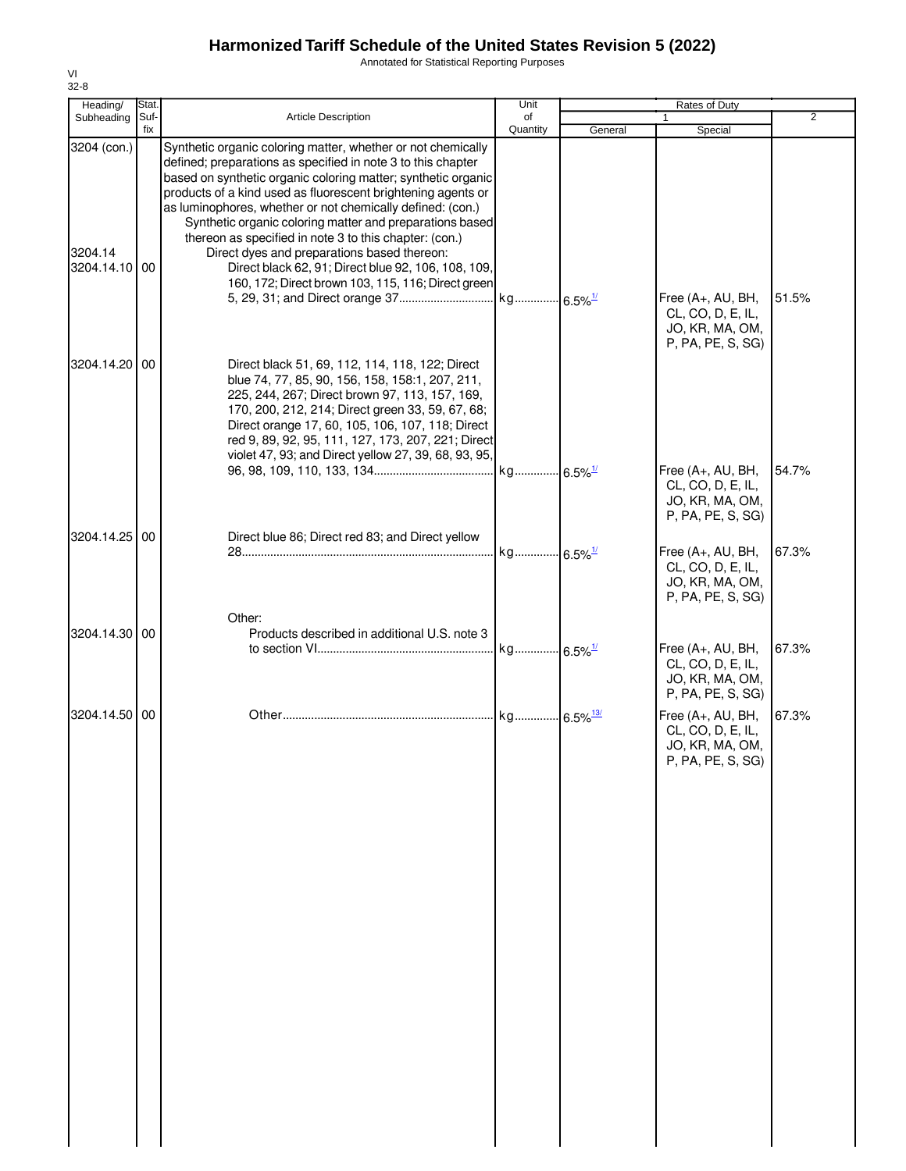Annotated for Statistical Reporting Purposes

| Heading/                                | Stat.       |                                                                                                                                                                                                                                                                                                                                                                                                                                                                                                                                                                                                               | Unit           |         | Rates of Duty                                                                                                          |                |
|-----------------------------------------|-------------|---------------------------------------------------------------------------------------------------------------------------------------------------------------------------------------------------------------------------------------------------------------------------------------------------------------------------------------------------------------------------------------------------------------------------------------------------------------------------------------------------------------------------------------------------------------------------------------------------------------|----------------|---------|------------------------------------------------------------------------------------------------------------------------|----------------|
| Subheading                              | Suf-<br>fix | <b>Article Description</b>                                                                                                                                                                                                                                                                                                                                                                                                                                                                                                                                                                                    | of<br>Quantity | General | 1<br>Special                                                                                                           | $\overline{2}$ |
| 3204 (con.)<br>3204.14<br>3204.14.10 00 |             | Synthetic organic coloring matter, whether or not chemically<br>defined; preparations as specified in note 3 to this chapter<br>based on synthetic organic coloring matter; synthetic organic<br>products of a kind used as fluorescent brightening agents or<br>as luminophores, whether or not chemically defined: (con.)<br>Synthetic organic coloring matter and preparations based<br>thereon as specified in note 3 to this chapter: (con.)<br>Direct dyes and preparations based thereon:<br>Direct black 62, 91; Direct blue 92, 106, 108, 109,<br>160, 172; Direct brown 103, 115, 116; Direct green |                |         | Free (A+, AU, BH,<br>CL, CO, D, E, IL,<br>JO, KR, MA, OM,<br>P, PA, PE, S, SG)                                         | 51.5%          |
| 3204.14.20 00                           |             | Direct black 51, 69, 112, 114, 118, 122; Direct<br>blue 74, 77, 85, 90, 156, 158, 158:1, 207, 211,<br>225, 244, 267; Direct brown 97, 113, 157, 169,<br>170, 200, 212, 214; Direct green 33, 59, 67, 68;<br>Direct orange 17, 60, 105, 106, 107, 118; Direct<br>red 9, 89, 92, 95, 111, 127, 173, 207, 221; Direct<br>violet 47, 93; and Direct yellow 27, 39, 68, 93, 95,                                                                                                                                                                                                                                    |                |         | Free (A+, AU, BH,<br>CL, CO, D, E, IL,                                                                                 | 54.7%          |
| 3204.14.25 00                           |             | Direct blue 86; Direct red 83; and Direct yellow                                                                                                                                                                                                                                                                                                                                                                                                                                                                                                                                                              |                |         | JO, KR, MA, OM,<br>P, PA, PE, S, SG)<br>Free (A+, AU, BH,<br>CL, CO, D, E, IL,<br>JO, KR, MA, OM,<br>P, PA, PE, S, SG) | 67.3%          |
| 3204.14.30 00                           |             | Other:<br>Products described in additional U.S. note 3                                                                                                                                                                                                                                                                                                                                                                                                                                                                                                                                                        |                |         | Free (A+, AU, BH,<br>CL, CO, D, E, IL,<br>JO, KR, MA, OM,                                                              | 67.3%          |
| 3204.14.50 00                           |             |                                                                                                                                                                                                                                                                                                                                                                                                                                                                                                                                                                                                               |                |         | P, PA, PE, S, SG)<br>Free (A+, AU, BH,<br>CL, CO, D, E, IL,<br>JO, KR, MA, OM,<br>P, PA, PE, S, SG)                    | 67.3%          |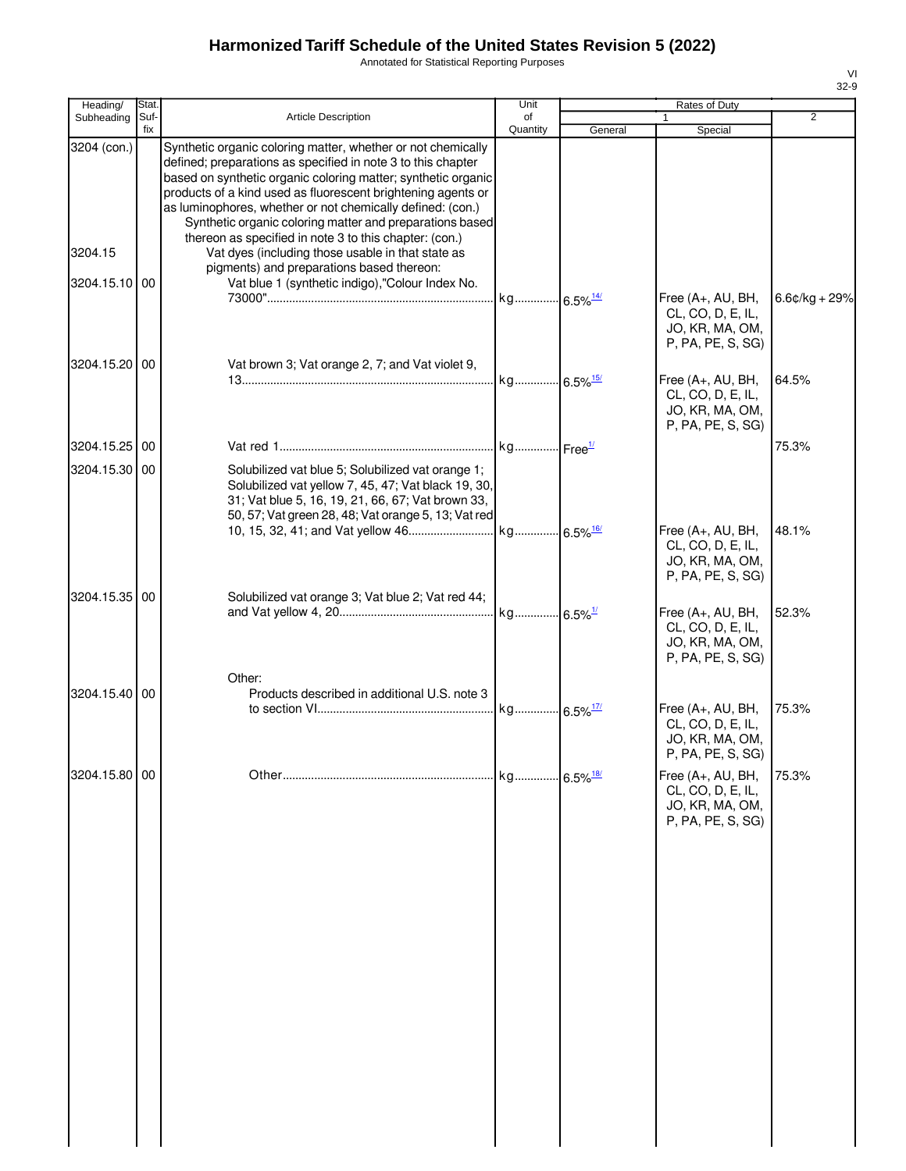Annotated for Statistical Reporting Purposes

| 71        |
|-----------|
| -9<br>32- |

| Heading/      | Stat.       |                                                                                                                                                                                                                                                                                                                                                                                                                                                   | Unit                   |         | Rates of Duty                                                                    |                 |
|---------------|-------------|---------------------------------------------------------------------------------------------------------------------------------------------------------------------------------------------------------------------------------------------------------------------------------------------------------------------------------------------------------------------------------------------------------------------------------------------------|------------------------|---------|----------------------------------------------------------------------------------|-----------------|
| Subheading    | Suf-<br>fix | Article Description                                                                                                                                                                                                                                                                                                                                                                                                                               | of<br>Quantity         | General | $\mathbf{1}$<br>Special                                                          | 2               |
| 3204 (con.)   |             | Synthetic organic coloring matter, whether or not chemically<br>defined; preparations as specified in note 3 to this chapter<br>based on synthetic organic coloring matter; synthetic organic<br>products of a kind used as fluorescent brightening agents or<br>as luminophores, whether or not chemically defined: (con.)<br>Synthetic organic coloring matter and preparations based<br>thereon as specified in note 3 to this chapter: (con.) |                        |         |                                                                                  |                 |
| 3204.15       |             | Vat dyes (including those usable in that state as<br>pigments) and preparations based thereon:                                                                                                                                                                                                                                                                                                                                                    |                        |         |                                                                                  |                 |
| 3204.15.10 00 |             | Vat blue 1 (synthetic indigo),"Colour Index No.                                                                                                                                                                                                                                                                                                                                                                                                   | kg 6.5% <sup>14/</sup> |         | Free (A+, AU, BH,<br>CL, CO, D, E, IL,<br>JO, KR, MA, OM,<br>P, PA, PE, S, SG)   | $6.6¢/kg + 29%$ |
| 3204.15.20 00 |             | Vat brown 3; Vat orange 2, 7; and Vat violet 9,                                                                                                                                                                                                                                                                                                                                                                                                   |                        |         | Free (A+, AU, BH,<br>CL, CO, D, E, IL,<br>JO, KR, MA, OM,<br>P, PA, PE, S, SG)   | 64.5%           |
| 3204.15.25 00 |             |                                                                                                                                                                                                                                                                                                                                                                                                                                                   |                        |         |                                                                                  | 75.3%           |
| 3204.15.30 00 |             | Solubilized vat blue 5; Solubilized vat orange 1;<br>Solubilized vat yellow 7, 45, 47; Vat black 19, 30,<br>31; Vat blue 5, 16, 19, 21, 66, 67; Vat brown 33,<br>50, 57; Vat green 28, 48; Vat orange 5, 13; Vat red                                                                                                                                                                                                                              |                        |         |                                                                                  | 48.1%           |
| 3204.15.35 00 |             | Solubilized vat orange 3; Vat blue 2; Vat red 44;                                                                                                                                                                                                                                                                                                                                                                                                 |                        |         | Free (A+, AU, BH,<br>CL, CO, D, E, IL,<br>JO, KR, MA, OM,<br>P, PA, PE, S, SG)   |                 |
|               |             | Other:                                                                                                                                                                                                                                                                                                                                                                                                                                            |                        |         | Free (A+, AU, BH,<br>CL, CO, D, E, IL,<br>JO, KR, MA, OM,<br>P, PA, PE, S, SG)   | 52.3%           |
| 3204.15.40 00 |             | Products described in additional U.S. note 3                                                                                                                                                                                                                                                                                                                                                                                                      |                        |         | Free (A+, AU, BH,<br>CL, CO, D, E, IL,<br>JO, KR, MA, OM,<br>P, PA, PE, S, SG)   | 75.3%           |
| 3204.15.80 00 |             |                                                                                                                                                                                                                                                                                                                                                                                                                                                   |                        |         | Free $(A+, AU, BH,$<br>CL, CO, D, E, IL,<br>JO, KR, MA, OM,<br>P, PA, PE, S, SG) | 75.3%           |
|               |             |                                                                                                                                                                                                                                                                                                                                                                                                                                                   |                        |         |                                                                                  |                 |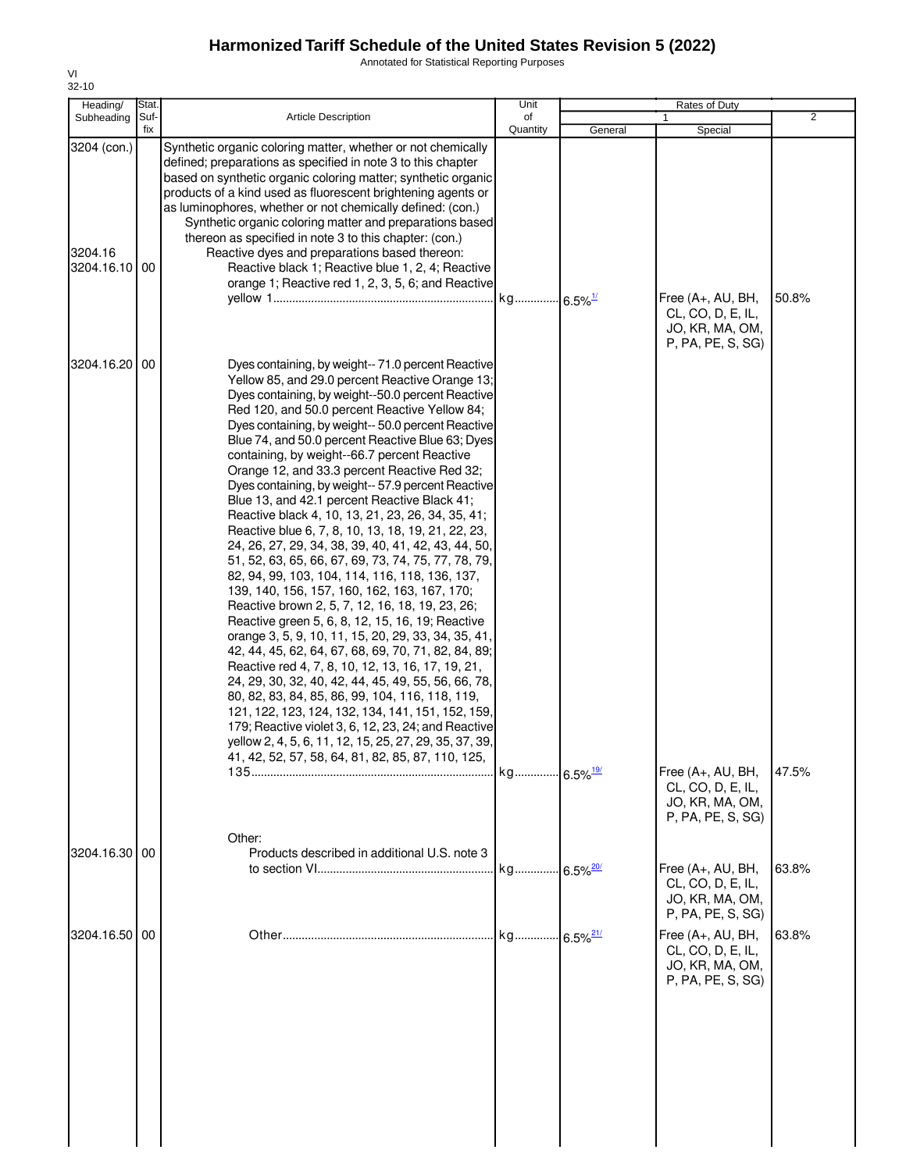Annotated for Statistical Reporting Purposes

| Heading/                             | Stat.       |                                                                                                                                                                                                                                                                                                                                                                                                                                                                                                                                                                                                                                                                                                                                                                                                                                                                                                                                                                                                                                                                                                                                                                                                                                                                                                                                                                                                                                                                      | Unit                   |                         | <b>Rates of Duty</b>                                                           |                |
|--------------------------------------|-------------|----------------------------------------------------------------------------------------------------------------------------------------------------------------------------------------------------------------------------------------------------------------------------------------------------------------------------------------------------------------------------------------------------------------------------------------------------------------------------------------------------------------------------------------------------------------------------------------------------------------------------------------------------------------------------------------------------------------------------------------------------------------------------------------------------------------------------------------------------------------------------------------------------------------------------------------------------------------------------------------------------------------------------------------------------------------------------------------------------------------------------------------------------------------------------------------------------------------------------------------------------------------------------------------------------------------------------------------------------------------------------------------------------------------------------------------------------------------------|------------------------|-------------------------|--------------------------------------------------------------------------------|----------------|
| Subheading                           | Suf-<br>fix | Article Description                                                                                                                                                                                                                                                                                                                                                                                                                                                                                                                                                                                                                                                                                                                                                                                                                                                                                                                                                                                                                                                                                                                                                                                                                                                                                                                                                                                                                                                  | of<br>Quantity         | General                 | Special                                                                        | $\overline{2}$ |
| 3204 (con.)<br>3204.16<br>3204.16.10 | 00          | Synthetic organic coloring matter, whether or not chemically<br>defined; preparations as specified in note 3 to this chapter<br>based on synthetic organic coloring matter; synthetic organic<br>products of a kind used as fluorescent brightening agents or<br>as luminophores, whether or not chemically defined: (con.)<br>Synthetic organic coloring matter and preparations based<br>thereon as specified in note 3 to this chapter: (con.)<br>Reactive dyes and preparations based thereon:<br>Reactive black 1; Reactive blue 1, 2, 4; Reactive<br>orange 1; Reactive red 1, 2, 3, 5, 6; and Reactive                                                                                                                                                                                                                                                                                                                                                                                                                                                                                                                                                                                                                                                                                                                                                                                                                                                        | kg 6.5% <sup>1/</sup>  |                         | Free (A+, AU, BH,<br>CL, CO, D, E, IL,<br>JO, KR, MA, OM,<br>P, PA, PE, S, SG) | 50.8%          |
| 3204.16.20                           | 00          | Dyes containing, by weight--71.0 percent Reactive<br>Yellow 85, and 29.0 percent Reactive Orange 13;<br>Dyes containing, by weight--50.0 percent Reactive<br>Red 120, and 50.0 percent Reactive Yellow 84;<br>Dyes containing, by weight-- 50.0 percent Reactive<br>Blue 74, and 50.0 percent Reactive Blue 63; Dyes<br>containing, by weight--66.7 percent Reactive<br>Orange 12, and 33.3 percent Reactive Red 32;<br>Dyes containing, by weight-- 57.9 percent Reactive<br>Blue 13, and 42.1 percent Reactive Black 41;<br>Reactive black 4, 10, 13, 21, 23, 26, 34, 35, 41;<br>Reactive blue 6, 7, 8, 10, 13, 18, 19, 21, 22, 23,<br>24, 26, 27, 29, 34, 38, 39, 40, 41, 42, 43, 44, 50,<br>51, 52, 63, 65, 66, 67, 69, 73, 74, 75, 77, 78, 79,<br>82, 94, 99, 103, 104, 114, 116, 118, 136, 137,<br>139, 140, 156, 157, 160, 162, 163, 167, 170;<br>Reactive brown 2, 5, 7, 12, 16, 18, 19, 23, 26;<br>Reactive green 5, 6, 8, 12, 15, 16, 19; Reactive<br>orange 3, 5, 9, 10, 11, 15, 20, 29, 33, 34, 35, 41,<br>42, 44, 45, 62, 64, 67, 68, 69, 70, 71, 82, 84, 89;<br>Reactive red 4, 7, 8, 10, 12, 13, 16, 17, 19, 21,<br>24, 29, 30, 32, 40, 42, 44, 45, 49, 55, 56, 66, 78,<br>80, 82, 83, 84, 85, 86, 99, 104, 116, 118, 119,<br>121, 122, 123, 124, 132, 134, 141, 151, 152, 159,<br>179; Reactive violet 3, 6, 12, 23, 24; and Reactive<br>yellow 2, 4, 5, 6, 11, 12, 15, 25, 27, 29, 35, 37, 39,<br>41, 42, 52, 57, 58, 64, 81, 82, 85, 87, 110, 125, |                        |                         |                                                                                |                |
|                                      |             | Other:                                                                                                                                                                                                                                                                                                                                                                                                                                                                                                                                                                                                                                                                                                                                                                                                                                                                                                                                                                                                                                                                                                                                                                                                                                                                                                                                                                                                                                                               | kg 6.5% <sup>19/</sup> |                         | Free (A+, AU, BH,<br>CL, CO, D, E, IL,<br>JO, KR, MA, OM,<br>P, PA, PE, S, SG) | 47.5%          |
| 3204.16.30 00                        |             | Products described in additional U.S. note 3                                                                                                                                                                                                                                                                                                                                                                                                                                                                                                                                                                                                                                                                                                                                                                                                                                                                                                                                                                                                                                                                                                                                                                                                                                                                                                                                                                                                                         | kg                     | $.6.5\%$ <sup>20/</sup> | Free (A+, AU, BH,<br>CL, CO, D, E, IL,<br>JO, KR, MA, OM,<br>P, PA, PE, S, SG) | 63.8%          |
| 3204.16.50 00                        |             |                                                                                                                                                                                                                                                                                                                                                                                                                                                                                                                                                                                                                                                                                                                                                                                                                                                                                                                                                                                                                                                                                                                                                                                                                                                                                                                                                                                                                                                                      | kg                     | $6.5\%$ <sup>21/</sup>  | Free (A+, AU, BH,<br>CL, CO, D, E, IL,<br>JO, KR, MA, OM,<br>P, PA, PE, S, SG) | 63.8%          |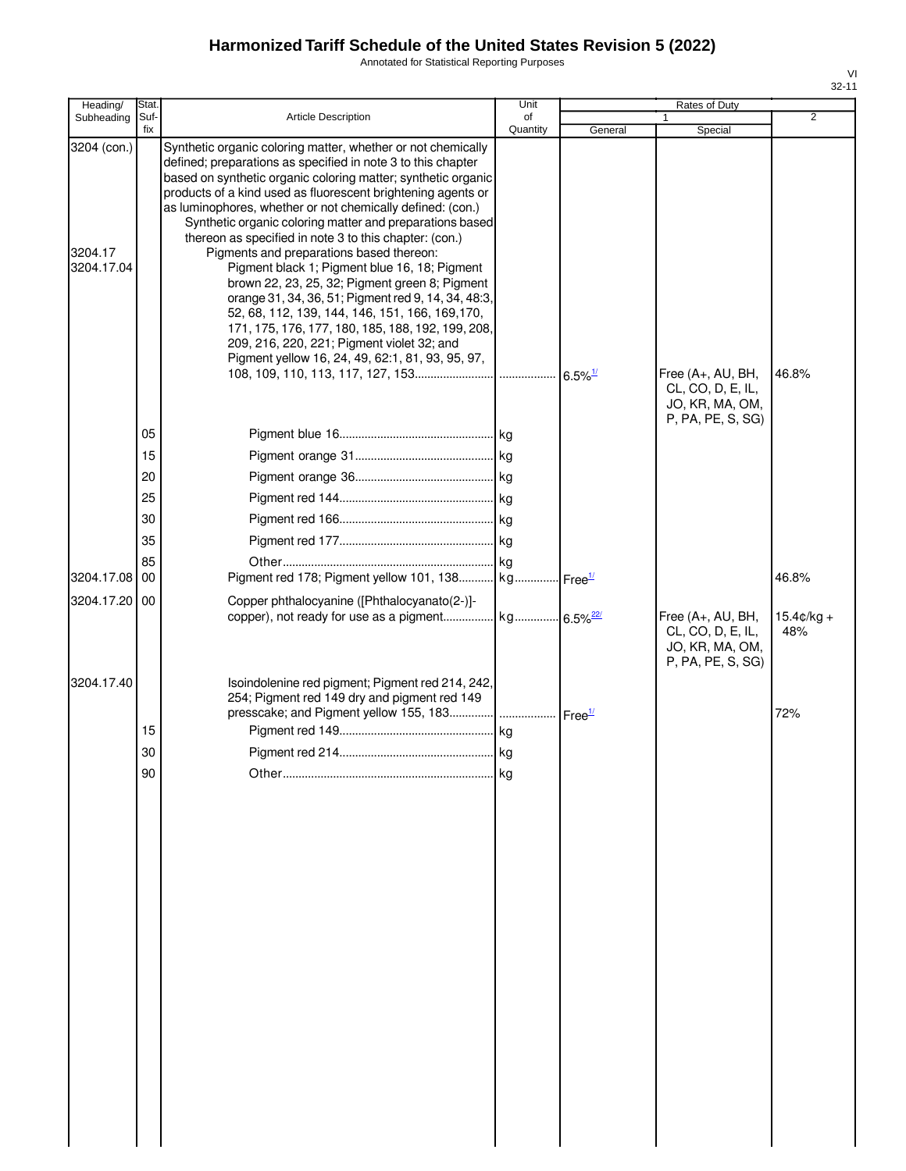Annotated for Statistical Reporting Purposes

| Heading/                             | Stat.       |                                                                                                                                                                                                                                                                                                                                                                                                                                                                                                                                                                                                                                                                                                                                                                                                                                                                   | Unit           |         | Rates of Duty                                                                  |                             |
|--------------------------------------|-------------|-------------------------------------------------------------------------------------------------------------------------------------------------------------------------------------------------------------------------------------------------------------------------------------------------------------------------------------------------------------------------------------------------------------------------------------------------------------------------------------------------------------------------------------------------------------------------------------------------------------------------------------------------------------------------------------------------------------------------------------------------------------------------------------------------------------------------------------------------------------------|----------------|---------|--------------------------------------------------------------------------------|-----------------------------|
| Subheading                           | Suf-<br>fix | <b>Article Description</b>                                                                                                                                                                                                                                                                                                                                                                                                                                                                                                                                                                                                                                                                                                                                                                                                                                        | of<br>Quantity | General | Special                                                                        | $\overline{2}$              |
| 3204 (con.)<br>3204.17<br>3204.17.04 |             | Synthetic organic coloring matter, whether or not chemically<br>defined; preparations as specified in note 3 to this chapter<br>based on synthetic organic coloring matter; synthetic organic<br>products of a kind used as fluorescent brightening agents or<br>as luminophores, whether or not chemically defined: (con.)<br>Synthetic organic coloring matter and preparations based<br>thereon as specified in note 3 to this chapter: (con.)<br>Pigments and preparations based thereon:<br>Pigment black 1; Pigment blue 16, 18; Pigment<br>brown 22, 23, 25, 32; Pigment green 8; Pigment<br>orange 31, 34, 36, 51; Pigment red 9, 14, 34, 48:3,<br>52, 68, 112, 139, 144, 146, 151, 166, 169, 170,<br>171, 175, 176, 177, 180, 185, 188, 192, 199, 208,<br>209, 216, 220, 221; Pigment violet 32; and<br>Pigment yellow 16, 24, 49, 62:1, 81, 93, 95, 97, |                |         | Free (A+, AU, BH,<br>CL, CO, D, E, IL,<br>JO, KR, MA, OM,                      | 46.8%                       |
|                                      |             |                                                                                                                                                                                                                                                                                                                                                                                                                                                                                                                                                                                                                                                                                                                                                                                                                                                                   |                |         | P, PA, PE, S, SG)                                                              |                             |
|                                      | 05          |                                                                                                                                                                                                                                                                                                                                                                                                                                                                                                                                                                                                                                                                                                                                                                                                                                                                   |                |         |                                                                                |                             |
|                                      | 15          |                                                                                                                                                                                                                                                                                                                                                                                                                                                                                                                                                                                                                                                                                                                                                                                                                                                                   |                |         |                                                                                |                             |
|                                      | 20          |                                                                                                                                                                                                                                                                                                                                                                                                                                                                                                                                                                                                                                                                                                                                                                                                                                                                   |                |         |                                                                                |                             |
|                                      | 25          |                                                                                                                                                                                                                                                                                                                                                                                                                                                                                                                                                                                                                                                                                                                                                                                                                                                                   |                |         |                                                                                |                             |
|                                      | 30          |                                                                                                                                                                                                                                                                                                                                                                                                                                                                                                                                                                                                                                                                                                                                                                                                                                                                   |                |         |                                                                                |                             |
|                                      | 35          |                                                                                                                                                                                                                                                                                                                                                                                                                                                                                                                                                                                                                                                                                                                                                                                                                                                                   |                |         |                                                                                |                             |
|                                      | 85          |                                                                                                                                                                                                                                                                                                                                                                                                                                                                                                                                                                                                                                                                                                                                                                                                                                                                   |                |         |                                                                                |                             |
| 3204.17.08<br>3204.17.20             | 00<br>00    | Pigment red 178; Pigment yellow 101, 138 kg Free <sup>1/</sup><br>Copper phthalocyanine ([Phthalocyanato(2-)]-                                                                                                                                                                                                                                                                                                                                                                                                                                                                                                                                                                                                                                                                                                                                                    |                |         |                                                                                | 46.8%                       |
|                                      |             |                                                                                                                                                                                                                                                                                                                                                                                                                                                                                                                                                                                                                                                                                                                                                                                                                                                                   |                |         | Free (A+, AU, BH,<br>CL, CO, D, E, IL,<br>JO, KR, MA, OM,<br>P, PA, PE, S, SG) | $15.4 \text{C/kg} +$<br>48% |
| 3204.17.40                           |             | Isoindolenine red pigment; Pigment red 214, 242,<br>254; Pigment red 149 dry and pigment red 149<br>presscake; and Pigment yellow 155, 183    Free <sup>1/</sup>                                                                                                                                                                                                                                                                                                                                                                                                                                                                                                                                                                                                                                                                                                  |                |         |                                                                                | 72%                         |
|                                      | 15          |                                                                                                                                                                                                                                                                                                                                                                                                                                                                                                                                                                                                                                                                                                                                                                                                                                                                   |                |         |                                                                                |                             |
|                                      | 30          |                                                                                                                                                                                                                                                                                                                                                                                                                                                                                                                                                                                                                                                                                                                                                                                                                                                                   | <b>Ika</b>     |         |                                                                                |                             |
|                                      | 90          |                                                                                                                                                                                                                                                                                                                                                                                                                                                                                                                                                                                                                                                                                                                                                                                                                                                                   | kg             |         |                                                                                |                             |
|                                      |             |                                                                                                                                                                                                                                                                                                                                                                                                                                                                                                                                                                                                                                                                                                                                                                                                                                                                   |                |         |                                                                                |                             |
|                                      |             |                                                                                                                                                                                                                                                                                                                                                                                                                                                                                                                                                                                                                                                                                                                                                                                                                                                                   |                |         |                                                                                |                             |
|                                      |             |                                                                                                                                                                                                                                                                                                                                                                                                                                                                                                                                                                                                                                                                                                                                                                                                                                                                   |                |         |                                                                                |                             |
|                                      |             |                                                                                                                                                                                                                                                                                                                                                                                                                                                                                                                                                                                                                                                                                                                                                                                                                                                                   |                |         |                                                                                |                             |
|                                      |             |                                                                                                                                                                                                                                                                                                                                                                                                                                                                                                                                                                                                                                                                                                                                                                                                                                                                   |                |         |                                                                                |                             |
|                                      |             |                                                                                                                                                                                                                                                                                                                                                                                                                                                                                                                                                                                                                                                                                                                                                                                                                                                                   |                |         |                                                                                |                             |
|                                      |             |                                                                                                                                                                                                                                                                                                                                                                                                                                                                                                                                                                                                                                                                                                                                                                                                                                                                   |                |         |                                                                                |                             |
|                                      |             |                                                                                                                                                                                                                                                                                                                                                                                                                                                                                                                                                                                                                                                                                                                                                                                                                                                                   |                |         |                                                                                |                             |
|                                      |             |                                                                                                                                                                                                                                                                                                                                                                                                                                                                                                                                                                                                                                                                                                                                                                                                                                                                   |                |         |                                                                                |                             |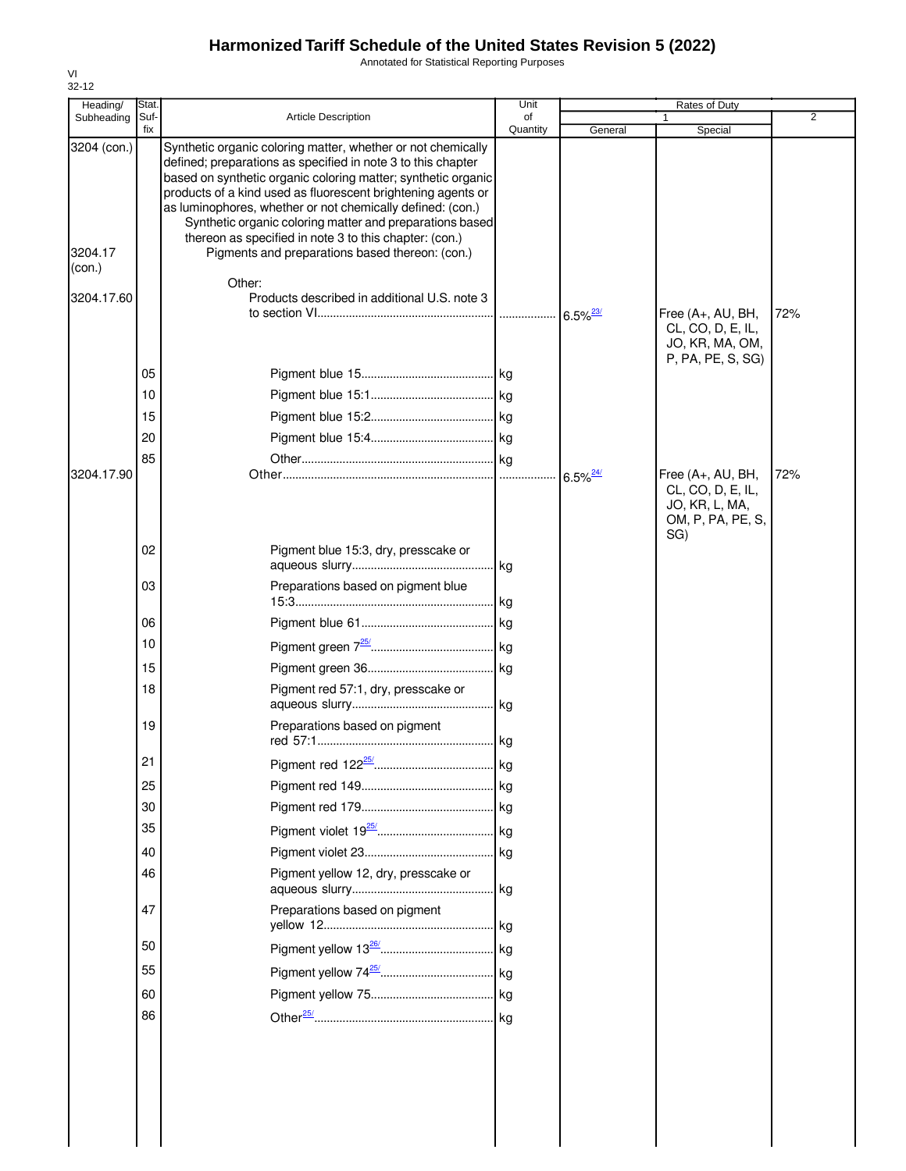Annotated for Statistical Reporting Purposes

| Heading/          | Stat.       |                                                                                                                                                                                                                                                                                                                                                                                                                                                   | Unit           |                        | Rates of Duty                                                                        |                |
|-------------------|-------------|---------------------------------------------------------------------------------------------------------------------------------------------------------------------------------------------------------------------------------------------------------------------------------------------------------------------------------------------------------------------------------------------------------------------------------------------------|----------------|------------------------|--------------------------------------------------------------------------------------|----------------|
| Subheading        | Suf-<br>fix | <b>Article Description</b>                                                                                                                                                                                                                                                                                                                                                                                                                        | of<br>Quantity | General                | Special                                                                              | $\overline{2}$ |
| 3204 (con.)       |             | Synthetic organic coloring matter, whether or not chemically<br>defined; preparations as specified in note 3 to this chapter<br>based on synthetic organic coloring matter; synthetic organic<br>products of a kind used as fluorescent brightening agents or<br>as luminophores, whether or not chemically defined: (con.)<br>Synthetic organic coloring matter and preparations based<br>thereon as specified in note 3 to this chapter: (con.) |                |                        |                                                                                      |                |
| 3204.17<br>(con.) |             | Pigments and preparations based thereon: (con.)<br>Other:                                                                                                                                                                                                                                                                                                                                                                                         |                |                        |                                                                                      |                |
| 3204.17.60        |             | Products described in additional U.S. note 3                                                                                                                                                                                                                                                                                                                                                                                                      |                | $6.5\%$ <sup>23/</sup> | Free (A+, AU, BH,<br>CL, CO, D, E, IL,<br>JO, KR, MA, OM,                            | 72%            |
|                   | 05          |                                                                                                                                                                                                                                                                                                                                                                                                                                                   |                |                        | P, PA, PE, S, SG)                                                                    |                |
|                   | 10          |                                                                                                                                                                                                                                                                                                                                                                                                                                                   |                |                        |                                                                                      |                |
|                   | 15          |                                                                                                                                                                                                                                                                                                                                                                                                                                                   |                |                        |                                                                                      |                |
|                   | 20          |                                                                                                                                                                                                                                                                                                                                                                                                                                                   |                |                        |                                                                                      |                |
|                   | 85          |                                                                                                                                                                                                                                                                                                                                                                                                                                                   |                |                        |                                                                                      |                |
| 3204.17.90        |             |                                                                                                                                                                                                                                                                                                                                                                                                                                                   |                | $6.5\%$ <sup>24/</sup> | Free (A+, AU, BH,<br>CL, CO, D, E, IL,<br>JO, KR, L, MA,<br>OM, P, PA, PE, S,<br>SG) | 72%            |
|                   | 02          | Pigment blue 15:3, dry, presscake or                                                                                                                                                                                                                                                                                                                                                                                                              | kg             |                        |                                                                                      |                |
|                   | 03          | Preparations based on pigment blue                                                                                                                                                                                                                                                                                                                                                                                                                |                |                        |                                                                                      |                |
|                   | 06          |                                                                                                                                                                                                                                                                                                                                                                                                                                                   | kg             |                        |                                                                                      |                |
|                   | 10          |                                                                                                                                                                                                                                                                                                                                                                                                                                                   |                |                        |                                                                                      |                |
|                   | 15          |                                                                                                                                                                                                                                                                                                                                                                                                                                                   | kg             |                        |                                                                                      |                |
|                   | 18          | Pigment red 57:1, dry, presscake or                                                                                                                                                                                                                                                                                                                                                                                                               | lkg.           |                        |                                                                                      |                |
|                   | 19          | Preparations based on pigment                                                                                                                                                                                                                                                                                                                                                                                                                     |                |                        |                                                                                      |                |
|                   | 21          |                                                                                                                                                                                                                                                                                                                                                                                                                                                   |                |                        |                                                                                      |                |
|                   | 25          |                                                                                                                                                                                                                                                                                                                                                                                                                                                   |                |                        |                                                                                      |                |
|                   | 30          |                                                                                                                                                                                                                                                                                                                                                                                                                                                   |                |                        |                                                                                      |                |
|                   | 35          |                                                                                                                                                                                                                                                                                                                                                                                                                                                   |                |                        |                                                                                      |                |
|                   | 40          |                                                                                                                                                                                                                                                                                                                                                                                                                                                   |                |                        |                                                                                      |                |
|                   | 46          | Pigment yellow 12, dry, presscake or                                                                                                                                                                                                                                                                                                                                                                                                              | kg             |                        |                                                                                      |                |
|                   | 47          | Preparations based on pigment                                                                                                                                                                                                                                                                                                                                                                                                                     |                |                        |                                                                                      |                |
|                   | 50          |                                                                                                                                                                                                                                                                                                                                                                                                                                                   |                |                        |                                                                                      |                |
|                   | 55          |                                                                                                                                                                                                                                                                                                                                                                                                                                                   | . kg           |                        |                                                                                      |                |
|                   | 60          |                                                                                                                                                                                                                                                                                                                                                                                                                                                   |                |                        |                                                                                      |                |
|                   | 86          |                                                                                                                                                                                                                                                                                                                                                                                                                                                   |                |                        |                                                                                      |                |
|                   |             |                                                                                                                                                                                                                                                                                                                                                                                                                                                   |                |                        |                                                                                      |                |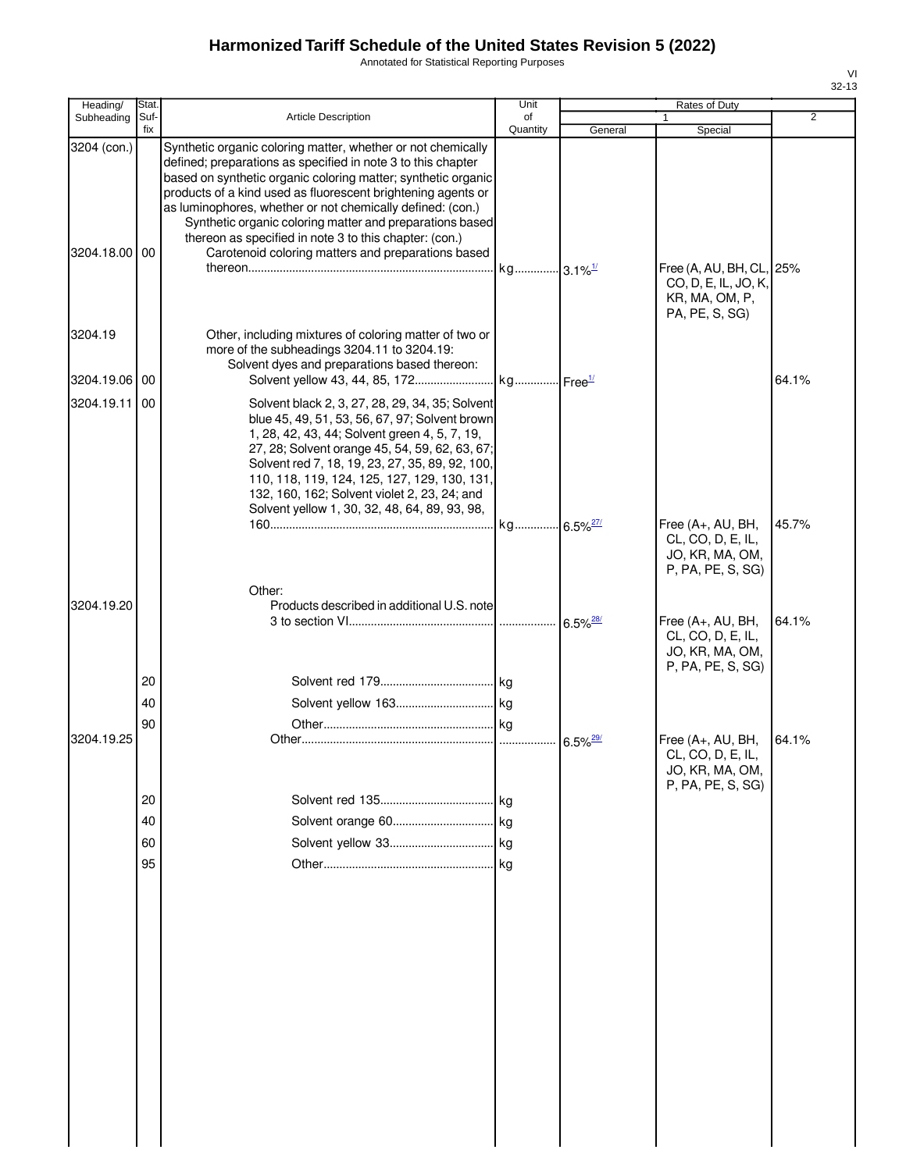Annotated for Statistical Reporting Purposes

| Heading/      | Stat.       |                                                                                                                                                                                                                                                                                                                                                                                                                                                   | Unit                   |         | Rates of Duty                                                                    |                |
|---------------|-------------|---------------------------------------------------------------------------------------------------------------------------------------------------------------------------------------------------------------------------------------------------------------------------------------------------------------------------------------------------------------------------------------------------------------------------------------------------|------------------------|---------|----------------------------------------------------------------------------------|----------------|
| Subheading    | Suf-<br>fix | <b>Article Description</b>                                                                                                                                                                                                                                                                                                                                                                                                                        | of<br>Quantity         | General | Special                                                                          | $\overline{2}$ |
| 3204 (con.)   |             | Synthetic organic coloring matter, whether or not chemically<br>defined; preparations as specified in note 3 to this chapter<br>based on synthetic organic coloring matter; synthetic organic<br>products of a kind used as fluorescent brightening agents or<br>as luminophores, whether or not chemically defined: (con.)<br>Synthetic organic coloring matter and preparations based<br>thereon as specified in note 3 to this chapter: (con.) |                        |         |                                                                                  |                |
| 3204.18.00 00 |             | Carotenoid coloring matters and preparations based                                                                                                                                                                                                                                                                                                                                                                                                | kg 3.1% <sup>1/1</sup> |         | Free (A, AU, BH, CL,<br>CO, D, E, IL, JO, K,<br>KR, MA, OM, P,<br>PA, PE, S, SG) | 25%            |
| 3204.19       |             | Other, including mixtures of coloring matter of two or<br>more of the subheadings 3204.11 to 3204.19:<br>Solvent dyes and preparations based thereon:                                                                                                                                                                                                                                                                                             |                        |         |                                                                                  |                |
| 3204.19.06    | 00          |                                                                                                                                                                                                                                                                                                                                                                                                                                                   |                        |         |                                                                                  | 64.1%          |
| 3204.19.11    | 00          | Solvent black 2, 3, 27, 28, 29, 34, 35; Solvent<br>blue 45, 49, 51, 53, 56, 67, 97; Solvent brown<br>1, 28, 42, 43, 44; Solvent green 4, 5, 7, 19,<br>27, 28; Solvent orange 45, 54, 59, 62, 63, 67;<br>Solvent red 7, 18, 19, 23, 27, 35, 89, 92, 100,<br>110, 118, 119, 124, 125, 127, 129, 130, 131,<br>132, 160, 162; Solvent violet 2, 23, 24; and<br>Solvent yellow 1, 30, 32, 48, 64, 89, 93, 98,                                          |                        |         | Free (A+, AU, BH,                                                                | 45.7%          |
|               |             |                                                                                                                                                                                                                                                                                                                                                                                                                                                   |                        |         | CL, CO, D, E, IL,<br>JO, KR, MA, OM,<br>P, PA, PE, S, SG)                        |                |
| 3204.19.20    |             | Other:<br>Products described in additional U.S. note                                                                                                                                                                                                                                                                                                                                                                                              |                        |         | Free (A+, AU, BH,<br>CL, CO, D, E, IL,<br>JO, KR, MA, OM,<br>P, PA, PE, S, SG)   | 64.1%          |
|               | 20          |                                                                                                                                                                                                                                                                                                                                                                                                                                                   |                        |         |                                                                                  |                |
|               | 40          |                                                                                                                                                                                                                                                                                                                                                                                                                                                   |                        |         |                                                                                  |                |
| 3204.19.25    | 90          |                                                                                                                                                                                                                                                                                                                                                                                                                                                   |                        |         | Free (A+, AU, BH,<br>CL, CO, D, E, IL<br>JO, KR, MA, OM,<br>P, PA, PE, S, SG)    | 64.1%          |
|               | 20          |                                                                                                                                                                                                                                                                                                                                                                                                                                                   | . kg                   |         |                                                                                  |                |
|               | 40          |                                                                                                                                                                                                                                                                                                                                                                                                                                                   |                        |         |                                                                                  |                |
|               | 60          |                                                                                                                                                                                                                                                                                                                                                                                                                                                   |                        |         |                                                                                  |                |
|               | 95          |                                                                                                                                                                                                                                                                                                                                                                                                                                                   |                        |         |                                                                                  |                |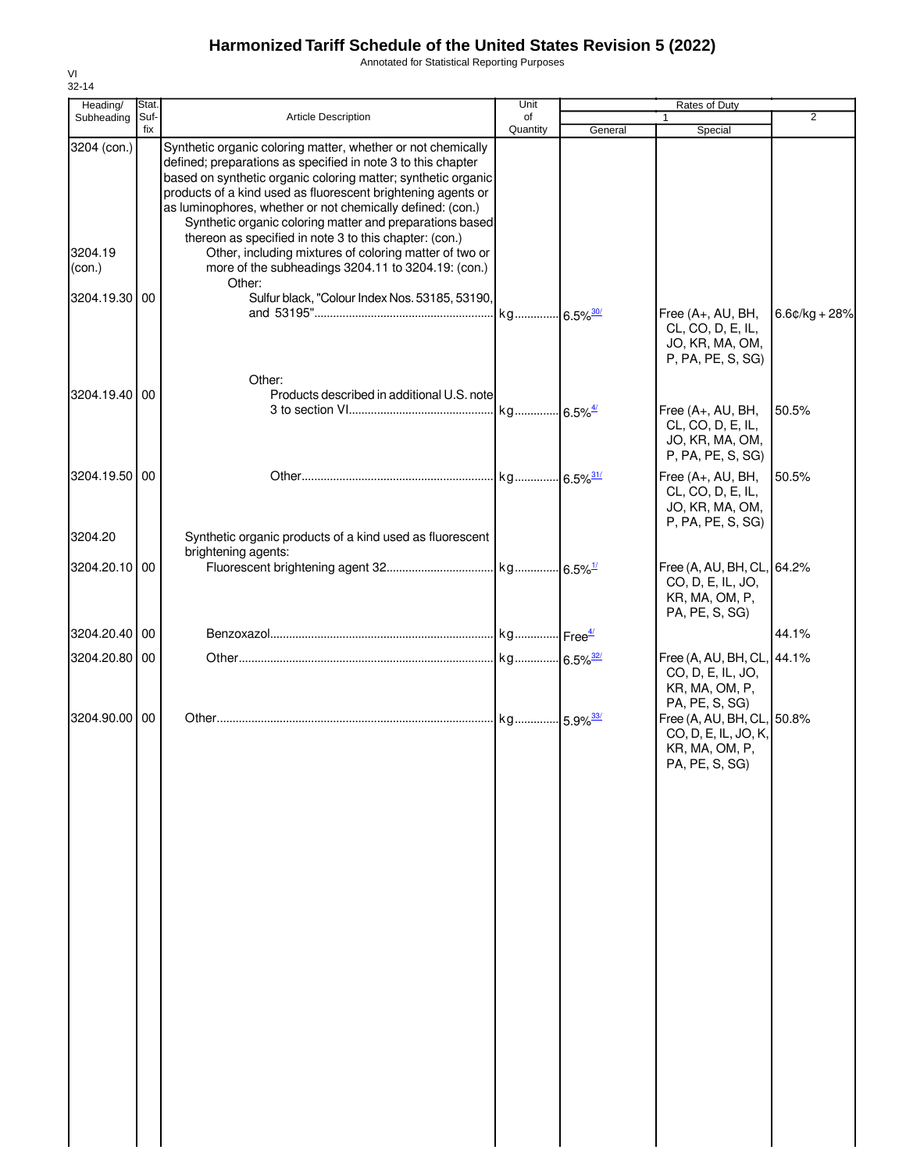Annotated for Statistical Reporting Purposes

| Heading/               | Stat.       |                                                                                                                                                                                                                                                                                                                                                                                                                                                                                                             | Unit           |         | Rates of Duty                                                                                            |                 |
|------------------------|-------------|-------------------------------------------------------------------------------------------------------------------------------------------------------------------------------------------------------------------------------------------------------------------------------------------------------------------------------------------------------------------------------------------------------------------------------------------------------------------------------------------------------------|----------------|---------|----------------------------------------------------------------------------------------------------------|-----------------|
| Subheading             | Suf-<br>fix | Article Description                                                                                                                                                                                                                                                                                                                                                                                                                                                                                         | of<br>Quantity | General | Special                                                                                                  | 2               |
| 3204 (con.)<br>3204.19 |             | Synthetic organic coloring matter, whether or not chemically<br>defined; preparations as specified in note 3 to this chapter<br>based on synthetic organic coloring matter; synthetic organic<br>products of a kind used as fluorescent brightening agents or<br>as luminophores, whether or not chemically defined: (con.)<br>Synthetic organic coloring matter and preparations based<br>thereon as specified in note 3 to this chapter: (con.)<br>Other, including mixtures of coloring matter of two or |                |         |                                                                                                          |                 |
| (con.)                 |             | more of the subheadings 3204.11 to 3204.19: (con.)<br>Other:                                                                                                                                                                                                                                                                                                                                                                                                                                                |                |         |                                                                                                          |                 |
| 3204.19.30 00          |             | Sulfur black, "Colour Index Nos. 53185, 53190,                                                                                                                                                                                                                                                                                                                                                                                                                                                              |                |         | Free (A+, AU, BH,<br>CL, CO, D, E, IL,<br>JO, KR, MA, OM,<br>P, PA, PE, S, SG)                           | $6.6¢/kg + 28%$ |
| 3204.19.40 00          |             | Other:<br>Products described in additional U.S. note                                                                                                                                                                                                                                                                                                                                                                                                                                                        |                |         |                                                                                                          |                 |
|                        |             |                                                                                                                                                                                                                                                                                                                                                                                                                                                                                                             |                |         | Free (A+, AU, BH,<br>CL, CO, D, E, IL,<br>JO, KR, MA, OM,<br>P, PA, PE, S, SG)                           | 50.5%           |
| 3204.19.50 00          |             |                                                                                                                                                                                                                                                                                                                                                                                                                                                                                                             |                |         | Free (A+, AU, BH,<br>CL, CO, D, E, IL,<br>JO, KR, MA, OM,<br>P, PA, PE, S, SG)                           | 50.5%           |
| 3204.20                |             | Synthetic organic products of a kind used as fluorescent<br>brightening agents:                                                                                                                                                                                                                                                                                                                                                                                                                             |                |         |                                                                                                          |                 |
| 3204.20.10 00          |             |                                                                                                                                                                                                                                                                                                                                                                                                                                                                                                             |                |         | Free (A, AU, BH, CL, 64.2%<br>CO, D, E, IL, JO,<br>KR, MA, OM, P,<br>PA, PE, S, SG)                      |                 |
| 3204.20.40 00          |             |                                                                                                                                                                                                                                                                                                                                                                                                                                                                                                             |                |         |                                                                                                          | 44.1%           |
| 3204.20.80 00          |             |                                                                                                                                                                                                                                                                                                                                                                                                                                                                                                             |                |         | Free (A, AU, BH, CL, 44.1%<br>CO, D, E, IL, JO,<br>KR, MA, OM, P,                                        |                 |
| 3204.90.00             | 00          |                                                                                                                                                                                                                                                                                                                                                                                                                                                                                                             |                |         | PA, PE, S, SG)<br>Free (A, AU, BH, CL, 50.8%<br>CO, D, E, IL, JO, K,<br>KR, MA, OM, P,<br>PA, PE, S, SG) |                 |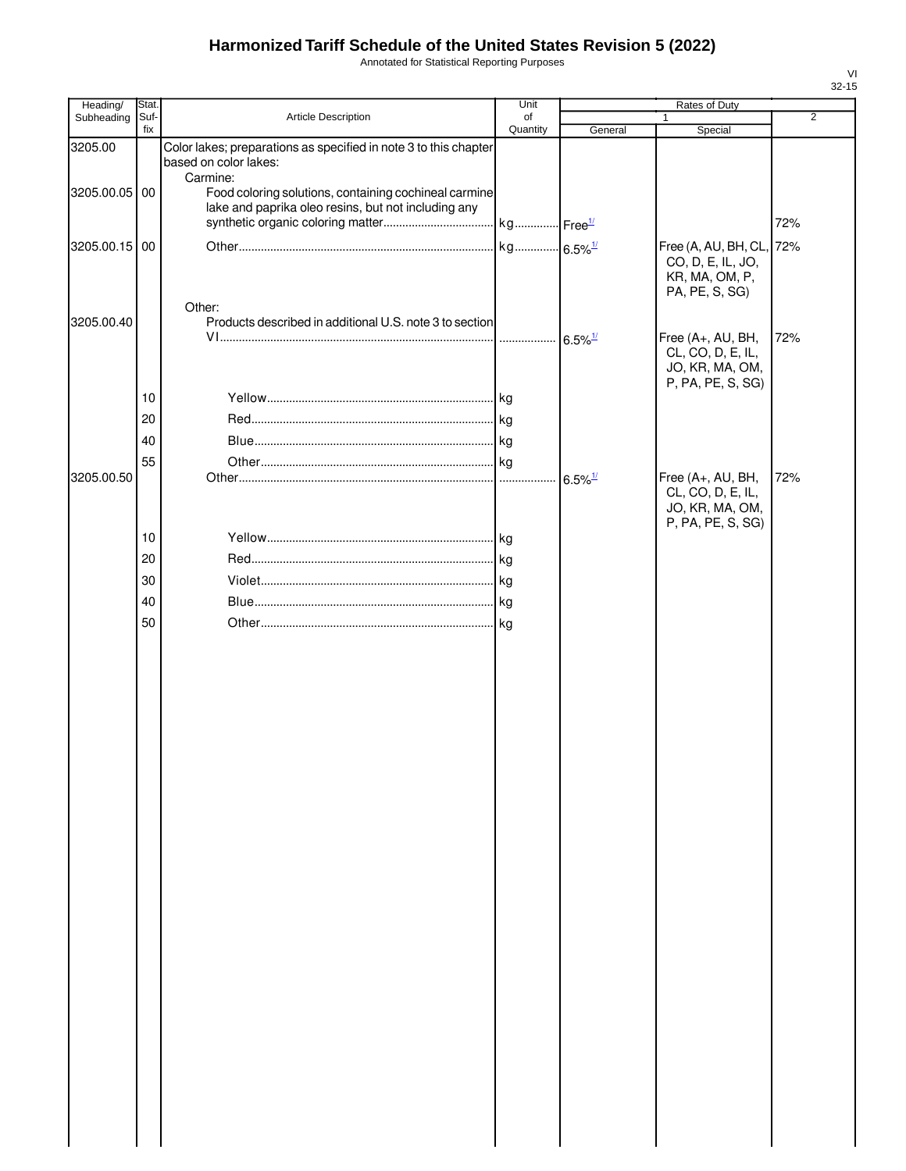Annotated for Statistical Reporting Purposes

| Stat. |                                                                                                                   | Unit                            |                                                                                                                                                                                                              | Rates of Duty                                             |                                                                                             |
|-------|-------------------------------------------------------------------------------------------------------------------|---------------------------------|--------------------------------------------------------------------------------------------------------------------------------------------------------------------------------------------------------------|-----------------------------------------------------------|---------------------------------------------------------------------------------------------|
|       |                                                                                                                   |                                 |                                                                                                                                                                                                              | $\mathbf{1}$                                              | $\overline{2}$                                                                              |
|       | based on color lakes:                                                                                             |                                 |                                                                                                                                                                                                              |                                                           |                                                                                             |
|       | lake and paprika oleo resins, but not including any                                                               |                                 |                                                                                                                                                                                                              |                                                           | 72%                                                                                         |
|       |                                                                                                                   |                                 |                                                                                                                                                                                                              | CO, D, E, IL, JO,<br>KR, MA, OM, P,                       | 72%                                                                                         |
|       | Other:                                                                                                            |                                 | $6.5\%$ <sup>1/</sup>                                                                                                                                                                                        | Free (A+, AU, BH,                                         | 72%                                                                                         |
|       |                                                                                                                   |                                 |                                                                                                                                                                                                              | JO, KR, MA, OM,<br>P, PA, PE, S, SG)                      |                                                                                             |
|       |                                                                                                                   |                                 |                                                                                                                                                                                                              |                                                           |                                                                                             |
|       |                                                                                                                   |                                 |                                                                                                                                                                                                              |                                                           |                                                                                             |
|       |                                                                                                                   |                                 |                                                                                                                                                                                                              |                                                           |                                                                                             |
|       |                                                                                                                   | 1.1.1.1                         | $6.5\%$ <sup>1/</sup>                                                                                                                                                                                        | Free (A+, AU, BH,<br>CL, CO, D, E, IL,<br>JO, KR, MA, OM, | 72%                                                                                         |
|       |                                                                                                                   |                                 |                                                                                                                                                                                                              |                                                           |                                                                                             |
|       |                                                                                                                   |                                 |                                                                                                                                                                                                              |                                                           |                                                                                             |
|       |                                                                                                                   |                                 |                                                                                                                                                                                                              |                                                           |                                                                                             |
|       |                                                                                                                   |                                 |                                                                                                                                                                                                              |                                                           |                                                                                             |
|       |                                                                                                                   |                                 |                                                                                                                                                                                                              |                                                           |                                                                                             |
|       |                                                                                                                   |                                 |                                                                                                                                                                                                              |                                                           |                                                                                             |
|       | Suf-<br>fix<br>3205.00.05 00<br>3205.00.15 00<br>10<br>20<br>40<br>55<br>3205.00.50<br>10<br>20<br>30<br>40<br>50 | Article Description<br>Carmine: | of<br>Quantity<br>Color lakes; preparations as specified in note 3 to this chapter<br>Food coloring solutions, containing cochineal carmine<br>Products described in additional U.S. note 3 to section<br>kg | General<br>kg 6.5% <sup>1/</sup>                          | Special<br>Free (A, AU, BH, CL,<br>PA, PE, S, SG)<br>CL, CO, D, E, IL,<br>P, PA, PE, S, SG) |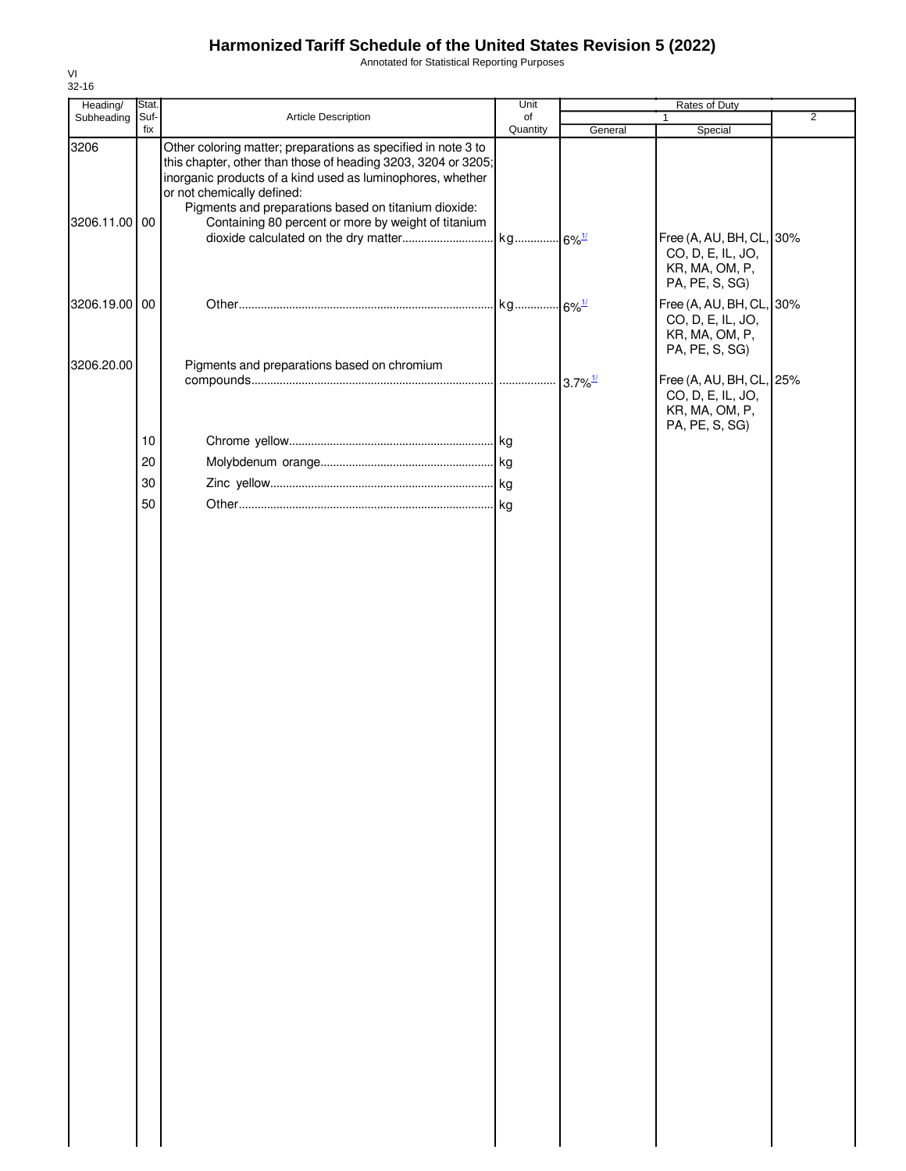Annotated for Statistical Reporting Purposes

| Heading/      | Stat.       |                                                                                                                                                                                                                                                                                    | Unit           |                        | Rates of Duty                                                                     |                |
|---------------|-------------|------------------------------------------------------------------------------------------------------------------------------------------------------------------------------------------------------------------------------------------------------------------------------------|----------------|------------------------|-----------------------------------------------------------------------------------|----------------|
| Subheading    | Suf-<br>fix | Article Description                                                                                                                                                                                                                                                                | of<br>Quantity |                        |                                                                                   | $\overline{2}$ |
| 3206          |             | Other coloring matter; preparations as specified in note 3 to<br>this chapter, other than those of heading 3203, 3204 or 3205;<br>inorganic products of a kind used as luminophores, whether<br>or not chemically defined:<br>Pigments and preparations based on titanium dioxide: |                | General                | Special                                                                           |                |
| 3206.11.00 00 |             | Containing 80 percent or more by weight of titanium                                                                                                                                                                                                                                |                |                        | Free (A, AU, BH, CL, 30%<br>CO, D, E, IL, JO,<br>KR, MA, OM, P,<br>PA, PE, S, SG) |                |
| 3206.19.00 00 |             |                                                                                                                                                                                                                                                                                    |                |                        | Free (A, AU, BH, CL, 30%<br>CO, D, E, IL, JO,<br>KR, MA, OM, P,<br>PA, PE, S, SG) |                |
| 3206.20.00    |             | Pigments and preparations based on chromium                                                                                                                                                                                                                                        |                | $-3.7\%$ <sup>1/</sup> | Free (A, AU, BH, CL, 25%<br>CO, D, E, IL, JO,<br>KR, MA, OM, P,                   |                |
|               | $10$        |                                                                                                                                                                                                                                                                                    |                |                        | PA, PE, S, SG)                                                                    |                |
|               | 20          |                                                                                                                                                                                                                                                                                    |                |                        |                                                                                   |                |
|               | 30          |                                                                                                                                                                                                                                                                                    |                |                        |                                                                                   |                |
|               | 50          |                                                                                                                                                                                                                                                                                    |                |                        |                                                                                   |                |
|               |             |                                                                                                                                                                                                                                                                                    |                |                        |                                                                                   |                |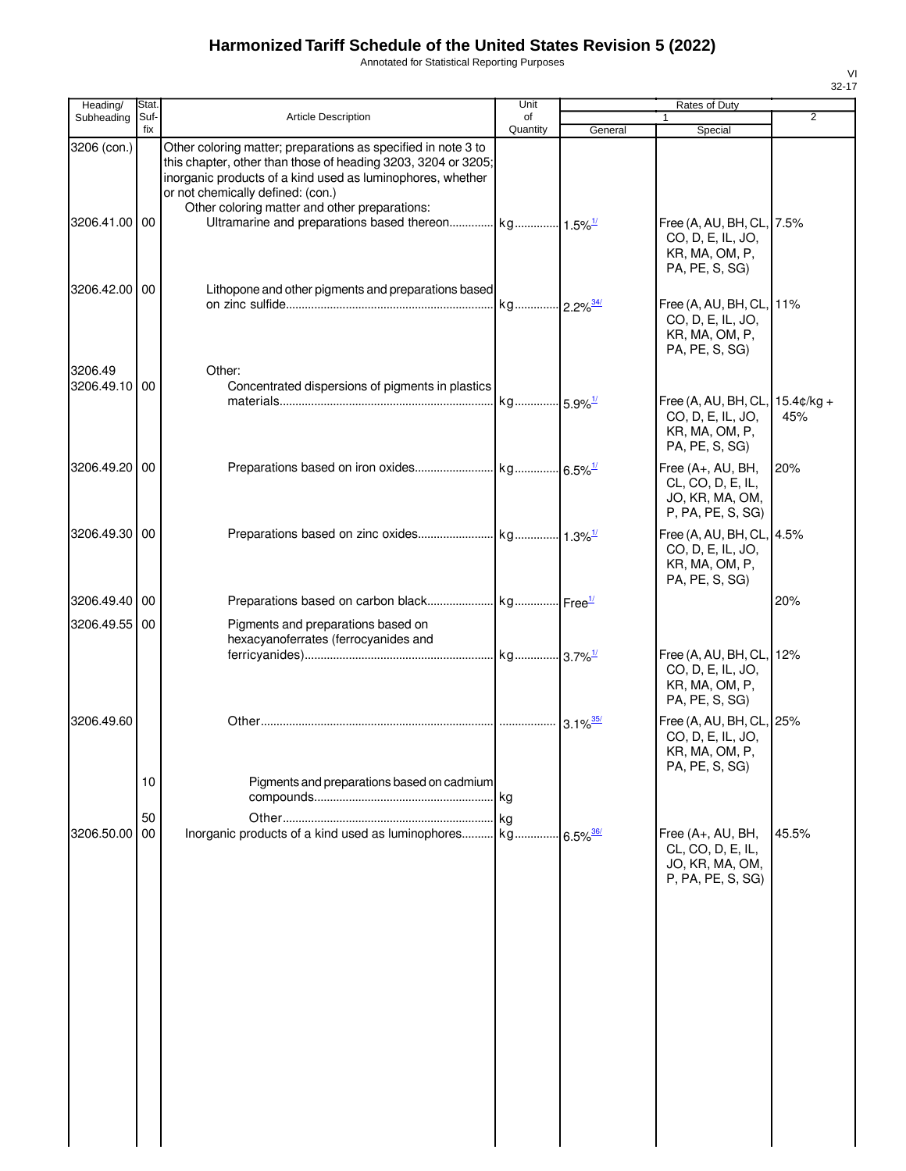Annotated for Statistical Reporting Purposes

| Heading/                 | Stat. |                                                                                                                                                                                                                   | Unit     |         | Rates of Duty                                                                            |                |
|--------------------------|-------|-------------------------------------------------------------------------------------------------------------------------------------------------------------------------------------------------------------------|----------|---------|------------------------------------------------------------------------------------------|----------------|
| Subheading               | Suf-  | <b>Article Description</b>                                                                                                                                                                                        | of       |         | 1                                                                                        | $\overline{2}$ |
| 3206 (con.)              | fix   | Other coloring matter; preparations as specified in note 3 to                                                                                                                                                     | Quantity | General | Special                                                                                  |                |
| 3206.41.00 00            |       | this chapter, other than those of heading 3203, 3204 or 3205;<br>inorganic products of a kind used as luminophores, whether<br>or not chemically defined: (con.)<br>Other coloring matter and other preparations: |          |         | Free (A, AU, BH, CL, 7.5%<br>CO, D, E, IL, JO,<br>KR, MA, OM, P,<br>PA, PE, S, SG)       |                |
| 3206.42.00 00            |       | Lithopone and other pigments and preparations based                                                                                                                                                               |          |         | Free (A, AU, BH, CL, 11%<br>CO, D, E, IL, JO,<br>KR, MA, OM, P,<br>PA, PE, S, SG)        |                |
| 3206.49<br>3206.49.10 00 |       | Other:<br>Concentrated dispersions of pigments in plastics                                                                                                                                                        |          |         | Free (A, AU, BH, CL, 15.4¢/kg +<br>CO, D, E, IL, JO,<br>KR, MA, OM, P,<br>PA, PE, S, SG) | 45%            |
| 3206.49.20 00            |       |                                                                                                                                                                                                                   |          |         | Free (A+, AU, BH,<br>CL, CO, D, E, IL,<br>JO, KR, MA, OM,<br>P, PA, PE, S, SG)           | 20%            |
| 3206.49.30 00            |       |                                                                                                                                                                                                                   |          |         | Free (A, AU, BH, CL, 4.5%<br>CO, D, E, IL, JO,<br>KR, MA, OM, P,<br>PA, PE, S, SG)       |                |
| 3206.49.40 00            |       |                                                                                                                                                                                                                   |          |         |                                                                                          | 20%            |
| 3206.49.55 00            |       | Pigments and preparations based on<br>hexacyanoferrates (ferrocyanides and                                                                                                                                        |          |         |                                                                                          |                |
|                          |       |                                                                                                                                                                                                                   |          |         | Free (A, AU, BH, CL, 12%<br>CO, D, E, IL, JO,<br>KR, MA, OM, P,<br>PA, PE, S, SG)        |                |
| 3206.49.60               |       |                                                                                                                                                                                                                   |          |         | Free (A, AU, BH, CL, 25%<br>CO, D, E, IL, JO,<br>KR, MA, OM, P,<br>PA, PE, S, SG)        |                |
|                          | 10    | Pigments and preparations based on cadmium                                                                                                                                                                        |          |         |                                                                                          |                |
|                          | 50    |                                                                                                                                                                                                                   | kg       |         |                                                                                          |                |
| 3206.50.00               | 00    | Inorganic products of a kind used as luminophores kg 6.5% <sup>36/</sup>                                                                                                                                          |          |         | Free (A+, AU, BH,<br>CL, CO, D, E, IL,<br>JO, KR, MA, OM,<br>P, PA, PE, S, SG)           | 45.5%          |
|                          |       |                                                                                                                                                                                                                   |          |         |                                                                                          |                |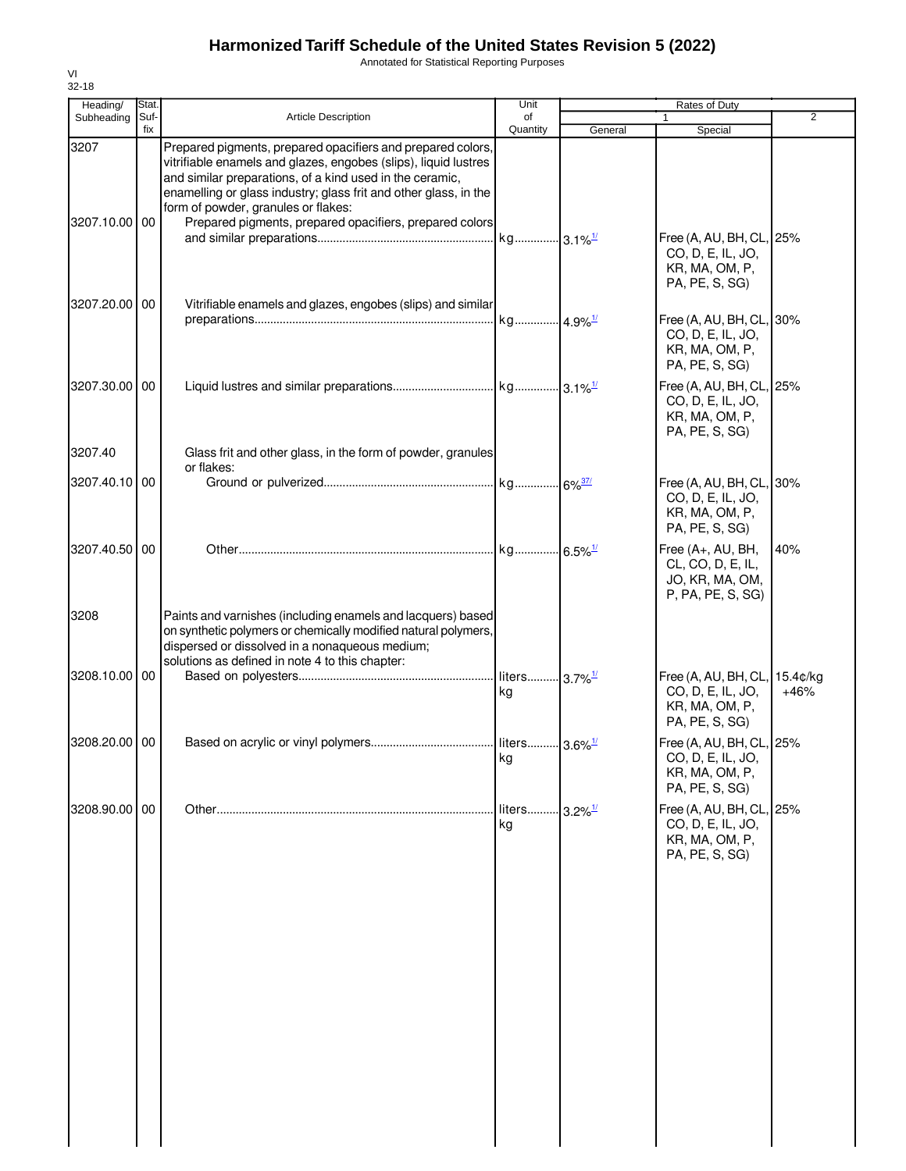Annotated for Statistical Reporting Purposes

| Heading/              | Stat.       |                                                                                                                                                                                                                                                                                                                                                                  | Unit                            |                        | Rates of Duty                                                                     |                    |
|-----------------------|-------------|------------------------------------------------------------------------------------------------------------------------------------------------------------------------------------------------------------------------------------------------------------------------------------------------------------------------------------------------------------------|---------------------------------|------------------------|-----------------------------------------------------------------------------------|--------------------|
| Subheading            | Suf-<br>fix | <b>Article Description</b>                                                                                                                                                                                                                                                                                                                                       | of<br>Quantity                  | General                | Special                                                                           | $\overline{2}$     |
| 3207<br>3207.10.00 00 |             | Prepared pigments, prepared opacifiers and prepared colors,<br>vitrifiable enamels and glazes, engobes (slips), liquid lustres<br>and similar preparations, of a kind used in the ceramic,<br>enamelling or glass industry; glass frit and other glass, in the<br>form of powder, granules or flakes:<br>Prepared pigments, prepared opacifiers, prepared colors |                                 |                        |                                                                                   |                    |
|                       |             |                                                                                                                                                                                                                                                                                                                                                                  |                                 |                        | Free (A, AU, BH, CL, 25%<br>CO, D, E, IL, JO,<br>KR, MA, OM, P,<br>PA, PE, S, SG) |                    |
| 3207.20.00 00         |             | Vitrifiable enamels and glazes, engobes (slips) and similar                                                                                                                                                                                                                                                                                                      |                                 |                        | Free (A, AU, BH, CL, 30%<br>CO, D, E, IL, JO,<br>KR, MA, OM, P,<br>PA, PE, S, SG) |                    |
| 3207.30.00 00         |             |                                                                                                                                                                                                                                                                                                                                                                  |                                 |                        | Free (A, AU, BH, CL, 25%<br>CO, D, E, IL, JO,<br>KR, MA, OM, P,<br>PA, PE, S, SG) |                    |
| 3207.40               |             | Glass frit and other glass, in the form of powder, granules<br>or flakes:                                                                                                                                                                                                                                                                                        |                                 |                        |                                                                                   |                    |
| 3207.40.10 00         |             |                                                                                                                                                                                                                                                                                                                                                                  |                                 |                        | Free (A, AU, BH, CL, 30%<br>CO, D, E, IL, JO,<br>KR, MA, OM, P,<br>PA, PE, S, SG) |                    |
| 3207.40.50 00         |             |                                                                                                                                                                                                                                                                                                                                                                  |                                 |                        | Free (A+, AU, BH,<br>CL, CO, D, E, IL,<br>JO, KR, MA, OM,<br>P, PA, PE, S, SG)    | 40%                |
| 3208                  |             | Paints and varnishes (including enamels and lacquers) based<br>on synthetic polymers or chemically modified natural polymers,<br>dispersed or dissolved in a nonaqueous medium;<br>solutions as defined in note 4 to this chapter:                                                                                                                               |                                 |                        |                                                                                   |                    |
| 3208.10.00 00         |             |                                                                                                                                                                                                                                                                                                                                                                  | liters 3.7% <sup>1/</sup><br>kg |                        | Free (A, AU, BH, CL,<br>CO, D, E, IL, JO,<br>KR, MA, OM, P,<br>PA, PE, S, SG)     | 15.4¢/kg<br>$+46%$ |
| 3208.20.00 00         |             |                                                                                                                                                                                                                                                                                                                                                                  | liters 3.6% <sup>1/</sup><br>kg |                        | Free (A, AU, BH, CL, 25%<br>CO, D, E, IL, JO,<br>KR, MA, OM, P,<br>PA, PE, S, SG) |                    |
| 3208.90.00 00         |             |                                                                                                                                                                                                                                                                                                                                                                  | liters<br>kg                    | $-3.2\%$ <sup>1/</sup> | Free (A, AU, BH, CL, 25%<br>CO, D, E, IL, JO,<br>KR, MA, OM, P,<br>PA, PE, S, SG) |                    |
|                       |             |                                                                                                                                                                                                                                                                                                                                                                  |                                 |                        |                                                                                   |                    |
|                       |             |                                                                                                                                                                                                                                                                                                                                                                  |                                 |                        |                                                                                   |                    |
|                       |             |                                                                                                                                                                                                                                                                                                                                                                  |                                 |                        |                                                                                   |                    |
|                       |             |                                                                                                                                                                                                                                                                                                                                                                  |                                 |                        |                                                                                   |                    |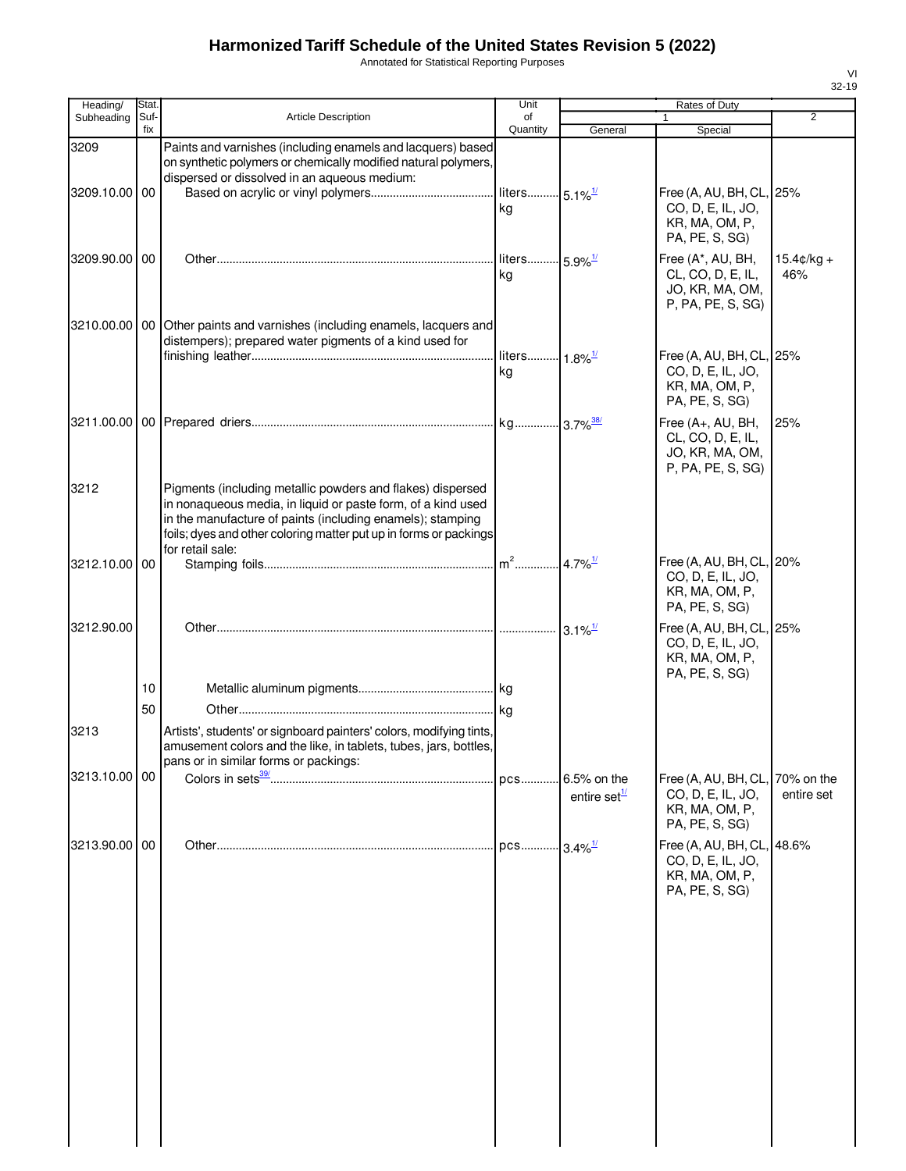Annotated for Statistical Reporting Purposes

| Heading/      | <b>Stat</b> |                                                                                                                                                                                                                                                                                   | Unit                            |                                         | Rates of Duty                                                                       |                          |
|---------------|-------------|-----------------------------------------------------------------------------------------------------------------------------------------------------------------------------------------------------------------------------------------------------------------------------------|---------------------------------|-----------------------------------------|-------------------------------------------------------------------------------------|--------------------------|
| Subheading    | Suf-<br>fix | Article Description                                                                                                                                                                                                                                                               | of<br>Quantity                  | General                                 | 1<br>Special                                                                        | $\overline{2}$           |
| 3209          |             | Paints and varnishes (including enamels and lacquers) based<br>on synthetic polymers or chemically modified natural polymers,<br>dispersed or dissolved in an aqueous medium:                                                                                                     |                                 |                                         |                                                                                     |                          |
| 3209.10.00 00 |             |                                                                                                                                                                                                                                                                                   | liters 5.1% <sup>1/</sup><br>kg |                                         | Free (A, AU, BH, CL, 25%<br>CO, D, E, IL, JO,<br>KR, MA, OM, P,<br>PA, PE, S, SG)   |                          |
| 3209.90.00 00 |             |                                                                                                                                                                                                                                                                                   | liters 5.9% <sup>1/</sup><br>kg |                                         | Free (A*, AU, BH,<br>CL, CO, D, E, IL,<br>JO, KR, MA, OM,<br>P, PA, PE, S, SG)      | $15.4c/ka +$<br>46%      |
|               |             | 3210.00.00   00   Other paints and varnishes (including enamels, lacquers and<br>distempers); prepared water pigments of a kind used for                                                                                                                                          | liters 1.8% <sup>1/</sup><br>kg |                                         | Free (A, AU, BH, CL, 25%<br>CO, D, E, IL, JO,<br>KR, MA, OM, P,<br>PA, PE, S, SG)   |                          |
|               |             |                                                                                                                                                                                                                                                                                   |                                 |                                         | Free (A+, AU, BH,<br>CL, CO, D, E, IL,<br>JO, KR, MA, OM,<br>P, PA, PE, S, SG)      | 25%                      |
| 3212          |             | Pigments (including metallic powders and flakes) dispersed<br>in nonaqueous media, in liquid or paste form, of a kind used<br>in the manufacture of paints (including enamels); stamping<br>foils; dyes and other coloring matter put up in forms or packings<br>for retail sale: |                                 |                                         |                                                                                     |                          |
| 3212.10.00 00 |             |                                                                                                                                                                                                                                                                                   |                                 | $.4.7\%$ <sup>1/</sup>                  | Free (A, AU, BH, CL, 20%<br>CO, D, E, IL, JO,<br>KR, MA, OM, P,<br>PA, PE, S, SG)   |                          |
| 3212.90.00    |             |                                                                                                                                                                                                                                                                                   |                                 | $3.1\%$ <sup>1/</sup>                   | Free (A, AU, BH, CL, 25%<br>CO, D, E, IL, JO,<br>KR, MA, OM, P,<br>PA, PE, S, SG)   |                          |
|               | 10          |                                                                                                                                                                                                                                                                                   |                                 |                                         |                                                                                     |                          |
| 3213          | 50          | Artists', students' or signboard painters' colors, modifying tints,<br>amusement colors and the like, in tablets, tubes, jars, bottles,<br>pans or in similar forms or packings:                                                                                                  |                                 |                                         |                                                                                     |                          |
| 3213.10.00 00 |             |                                                                                                                                                                                                                                                                                   |                                 | 6.5% on the<br>entire set $\frac{1}{2}$ | Free (A, AU, BH, CL,<br>CO, D, E, IL, JO,<br>KR, MA, OM, P,<br>PA, PE, S, SG)       | 70% on the<br>entire set |
| 3213.90.00 00 |             |                                                                                                                                                                                                                                                                                   |                                 | $3.4\%$ <sup>1/</sup>                   | Free (A, AU, BH, CL, 48.6%<br>CO, D, E, IL, JO,<br>KR, MA, OM, P,<br>PA, PE, S, SG) |                          |
|               |             |                                                                                                                                                                                                                                                                                   |                                 |                                         |                                                                                     |                          |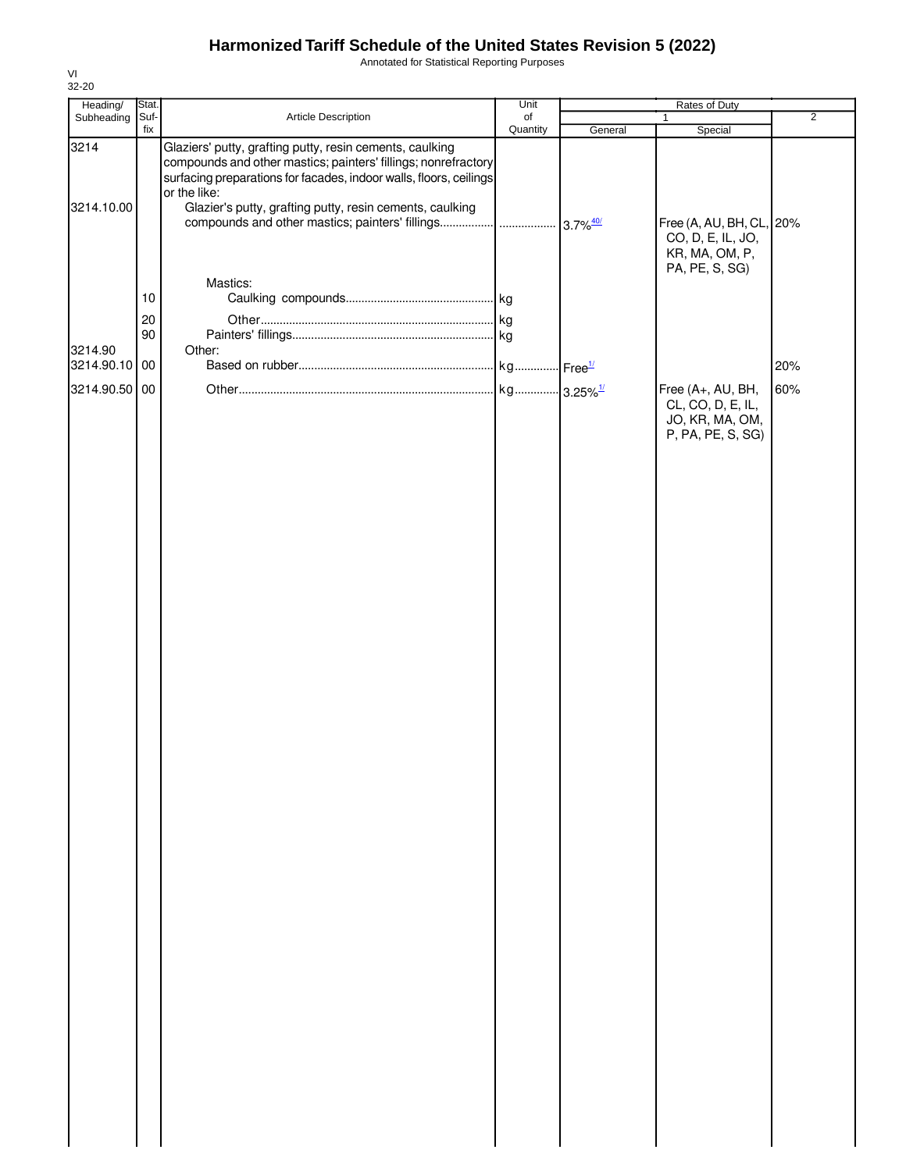Annotated for Statistical Reporting Purposes

| Heading/                                  | Stat.              |                                                                                                                                                                                                                                                                              | Unit           | Rates of Duty |                                                                                                                    | $\overline{2}$ |  |
|-------------------------------------------|--------------------|------------------------------------------------------------------------------------------------------------------------------------------------------------------------------------------------------------------------------------------------------------------------------|----------------|---------------|--------------------------------------------------------------------------------------------------------------------|----------------|--|
| Subheading                                | Suf-<br>fix        | Article Description                                                                                                                                                                                                                                                          | of<br>Quantity | General       | Special                                                                                                            |                |  |
| 3214<br>3214.10.00                        |                    | Glaziers' putty, grafting putty, resin cements, caulking<br>compounds and other mastics; painters' fillings; nonrefractory<br>surfacing preparations for facades, indoor walls, floors, ceilings<br>or the like:<br>Glazier's putty, grafting putty, resin cements, caulking |                |               | Free (A, AU, BH, CL, 20%<br>CO, D, E, IL, JO,                                                                      |                |  |
| 3214.90<br>3214.90.10 00<br>3214.90.50 00 | 10<br>$20\,$<br>90 | Mastics:<br>Other:                                                                                                                                                                                                                                                           |                |               | KR, MA, OM, P,<br>PA, PE, S, SG)<br>Free (A+, AU, BH,<br>CL, CO, D, E, IL,<br>JO, KR, MA, OM,<br>P, PA, PE, S, SG) | 20%<br>60%     |  |
|                                           |                    |                                                                                                                                                                                                                                                                              |                |               |                                                                                                                    |                |  |
|                                           |                    |                                                                                                                                                                                                                                                                              |                |               |                                                                                                                    |                |  |
|                                           |                    |                                                                                                                                                                                                                                                                              |                |               |                                                                                                                    |                |  |
|                                           |                    |                                                                                                                                                                                                                                                                              |                |               |                                                                                                                    |                |  |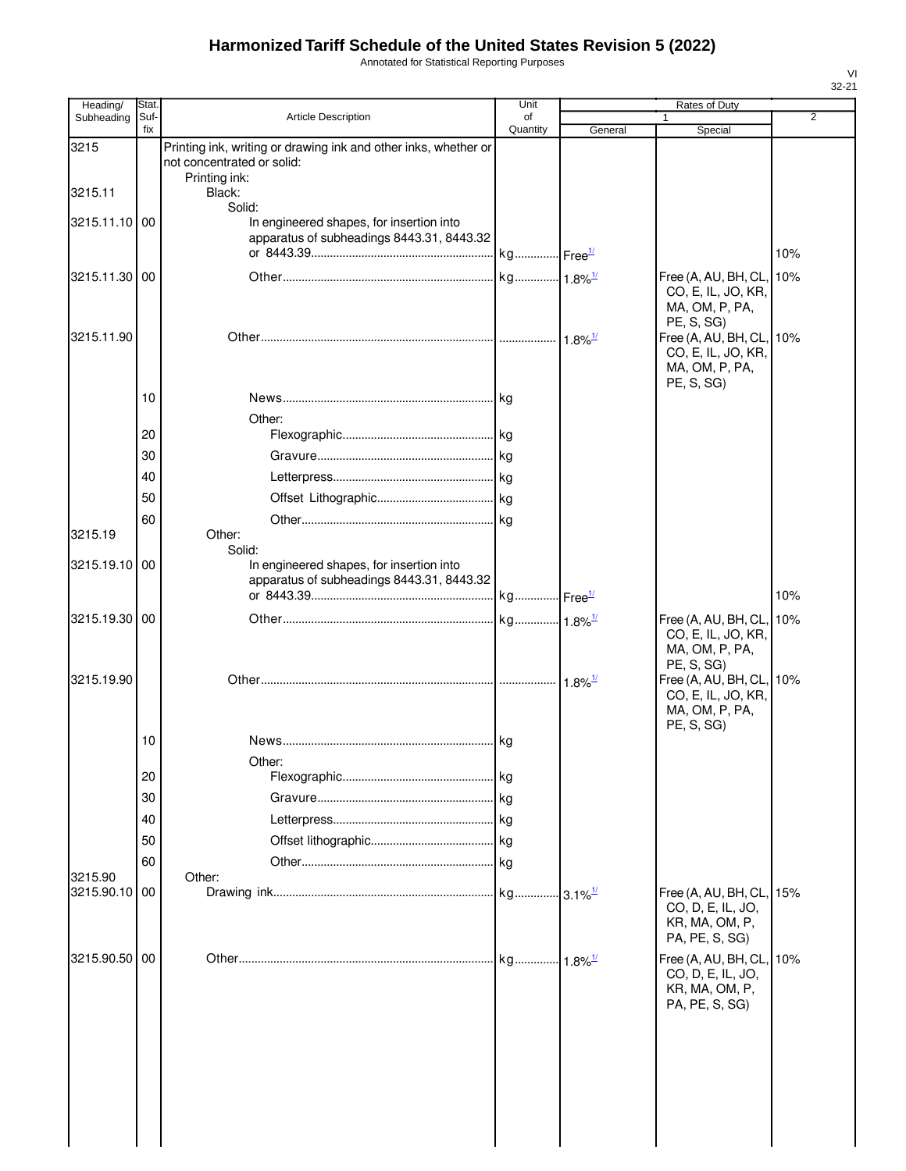Annotated for Statistical Reporting Purposes

| Heading/                 | Stat.       |                                                                                                 | Unit           |                               | Rates of Duty                                                                                        |                |
|--------------------------|-------------|-------------------------------------------------------------------------------------------------|----------------|-------------------------------|------------------------------------------------------------------------------------------------------|----------------|
| Subheading               | Suf-<br>fix | <b>Article Description</b>                                                                      | of<br>Quantity | General                       | Special                                                                                              | $\overline{2}$ |
| 3215                     |             | Printing ink, writing or drawing ink and other inks, whether or<br>not concentrated or solid:   |                |                               |                                                                                                      |                |
| 3215.11                  |             | Printing ink:<br>Black:                                                                         |                |                               |                                                                                                      |                |
| 3215.11.10 00            |             | Solid:<br>In engineered shapes, for insertion into<br>apparatus of subheadings 8443.31, 8443.32 |                |                               |                                                                                                      |                |
|                          |             |                                                                                                 |                |                               |                                                                                                      | 10%            |
| 3215.11.30 00            |             |                                                                                                 |                |                               | Free (A, AU, BH, CL, 10%<br>CO, E, IL, JO, KR,<br>MA, OM, P, PA,                                     |                |
| 3215.11.90               |             |                                                                                                 |                | $1.8\%$ <sup>1/</sup>         | PE, S, SG)<br>Free (A, AU, BH, CL, 10%<br>CO, E, IL, JO, KR,<br>MA, OM, P, PA,<br>PE, S, SG)         |                |
|                          | 10          |                                                                                                 | . kg           |                               |                                                                                                      |                |
|                          |             | Other:                                                                                          |                |                               |                                                                                                      |                |
|                          | 20          |                                                                                                 |                |                               |                                                                                                      |                |
|                          | 30          |                                                                                                 | . kg           |                               |                                                                                                      |                |
|                          | 40          |                                                                                                 |                |                               |                                                                                                      |                |
|                          | 50          |                                                                                                 |                |                               |                                                                                                      |                |
| 3215.19                  | 60          | Other:                                                                                          |                |                               |                                                                                                      |                |
|                          |             | Solid:                                                                                          |                |                               |                                                                                                      |                |
| 3215.19.10 00            |             | In engineered shapes, for insertion into<br>apparatus of subheadings 8443.31, 8443.32           |                |                               |                                                                                                      | 10%            |
| 3215.19.30 00            |             |                                                                                                 |                |                               | Free (A, AU, BH, CL, 10%                                                                             |                |
| 3215.19.90               |             |                                                                                                 |                | $1.8\%$ <sup>1/</sup>         | CO, E, IL, JO, KR,<br>MA, OM, P, PA,<br>PE, S, SG)<br>Free (A, AU, BH, CL, 10%<br>CO, E, IL, JO, KR, |                |
|                          | 10          |                                                                                                 |                |                               | MA, OM, P, PA,<br>PE, S, SG)                                                                         |                |
|                          |             | Other:                                                                                          |                |                               |                                                                                                      |                |
|                          | 20          |                                                                                                 |                |                               |                                                                                                      |                |
|                          | 30          |                                                                                                 | kg             |                               |                                                                                                      |                |
|                          | 40          |                                                                                                 | . Ikg          |                               |                                                                                                      |                |
|                          | 50          |                                                                                                 |                |                               |                                                                                                      |                |
|                          | 60          |                                                                                                 |                |                               |                                                                                                      |                |
| 3215.90<br>3215.90.10 00 |             | Other:                                                                                          |                |                               | Free (A, AU, BH, CL, 15%<br>CO, D, E, IL, JO,<br>KR, MA, OM, P,<br>PA, PE, S, SG)                    |                |
| 3215.90.50 00            |             |                                                                                                 |                | $\cdot$ 1.8% $^{\frac{1}{2}}$ | Free (A, AU, BH, CL, 10%<br>CO, D, E, IL, JO,<br>KR, MA, OM, P,<br>PA, PE, S, SG)                    |                |
|                          |             |                                                                                                 |                |                               |                                                                                                      |                |